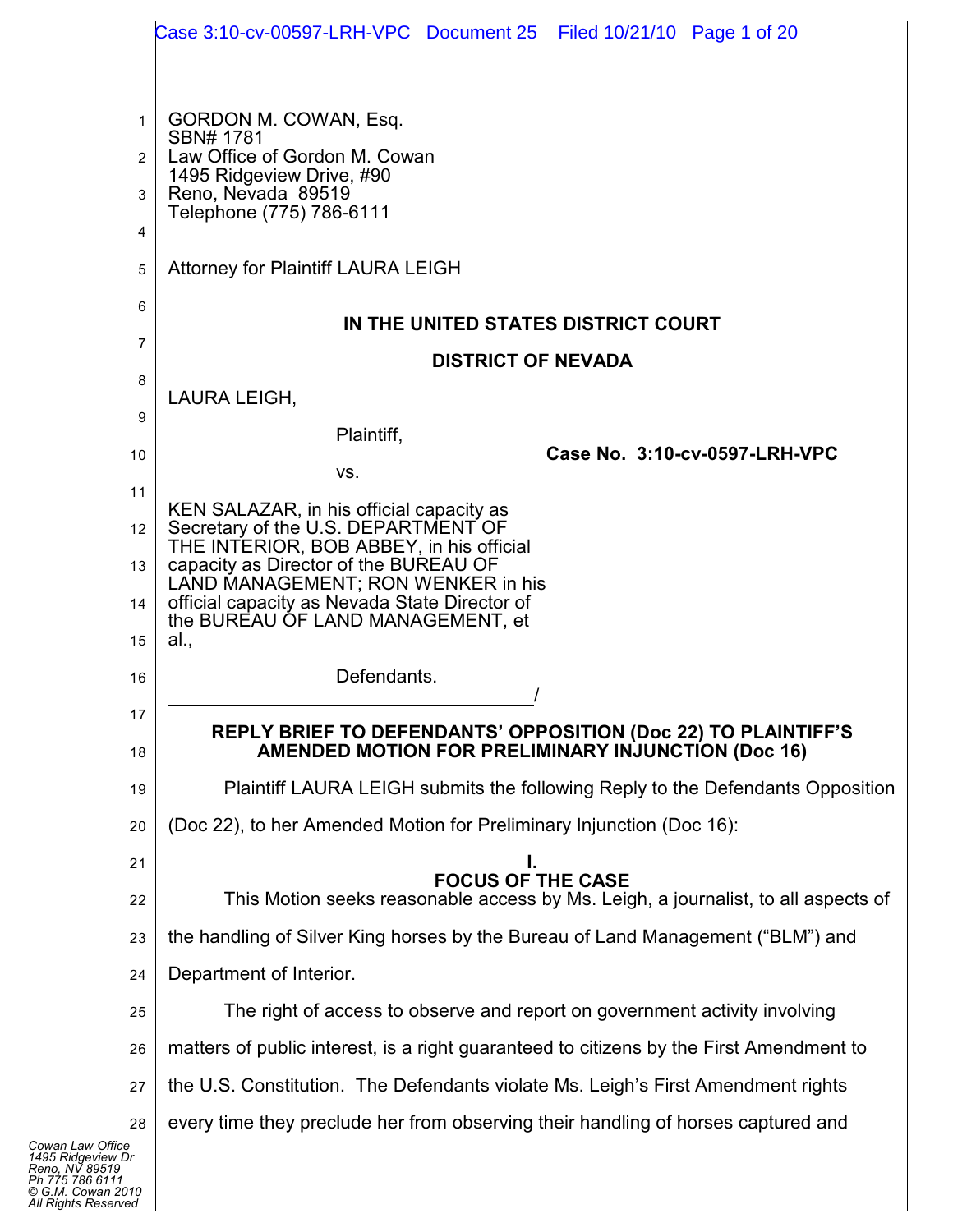|                | Case 3:10-cv-00597-LRH-VPC Document 25 Filed 10/21/10 Page 1 of 20                                                         |
|----------------|----------------------------------------------------------------------------------------------------------------------------|
|                |                                                                                                                            |
| $\mathbf{1}$   | GORDON M. COWAN, Esq.<br>SBN# 1781                                                                                         |
| $\overline{2}$ | Law Office of Gordon M. Cowan                                                                                              |
| 3              | 1495 Ridgeview Drive, #90<br>Reno, Nevada 89519                                                                            |
| 4              | Telephone (775) 786-6111                                                                                                   |
| 5              | <b>Attorney for Plaintiff LAURA LEIGH</b>                                                                                  |
| 6              |                                                                                                                            |
| $\overline{7}$ | IN THE UNITED STATES DISTRICT COURT                                                                                        |
| 8              | <b>DISTRICT OF NEVADA</b>                                                                                                  |
| 9              | LAURA LEIGH,                                                                                                               |
| 10             | Plaintiff,<br>Case No. 3:10-cv-0597-LRH-VPC                                                                                |
| 11             | VS.                                                                                                                        |
| 12             | KEN SALAZAR, in his official capacity as<br>Secretary of the U.S. DEPARTMENT OF                                            |
| 13             | THE INTERIOR, BOB ABBEY, in his official<br>capacity as Director of the BUREAU OF                                          |
|                | LAND MANAGEMENT; RON WENKER in his<br>official capacity as Nevada State Director of                                        |
| 14             | the BUREAU OF LAND MANAGEMENT, et                                                                                          |
| 15             | al.,<br>Defendants.                                                                                                        |
| 16             |                                                                                                                            |
| 17<br>18       | <b>REPLY BRIEF TO DEFENDANTS' OPPOSITION (Doc 22) TO PLAINTIFF'S</b><br>AMENDED MOTION FOR PRELIMINARY INJUNCTION (Doc 16) |
| 19             | Plaintiff LAURA LEIGH submits the following Reply to the Defendants Opposition                                             |
| 20             | (Doc 22), to her Amended Motion for Preliminary Injunction (Doc 16):                                                       |
| 21             |                                                                                                                            |
| 22             | <b>FOCUS OF THE CASE</b><br>This Motion seeks reasonable access by Ms. Leigh, a journalist, to all aspects of              |
| 23             | the handling of Silver King horses by the Bureau of Land Management ("BLM") and                                            |
| 24             | Department of Interior.                                                                                                    |
| 25             | The right of access to observe and report on government activity involving                                                 |
| 26             | matters of public interest, is a right guaranteed to citizens by the First Amendment to                                    |
| 27             | the U.S. Constitution. The Defendants violate Ms. Leigh's First Amendment rights                                           |
| 28             | every time they preclude her from observing their handling of horses captured and                                          |
| e:<br>Dr       |                                                                                                                            |

*Cowan Law Office 1495 Ridgeview Dr Reno, NV 89519 Ph 775 786 6111 © G.M. Cowan 2010 All Rights Reserved*

 $\mathbf l$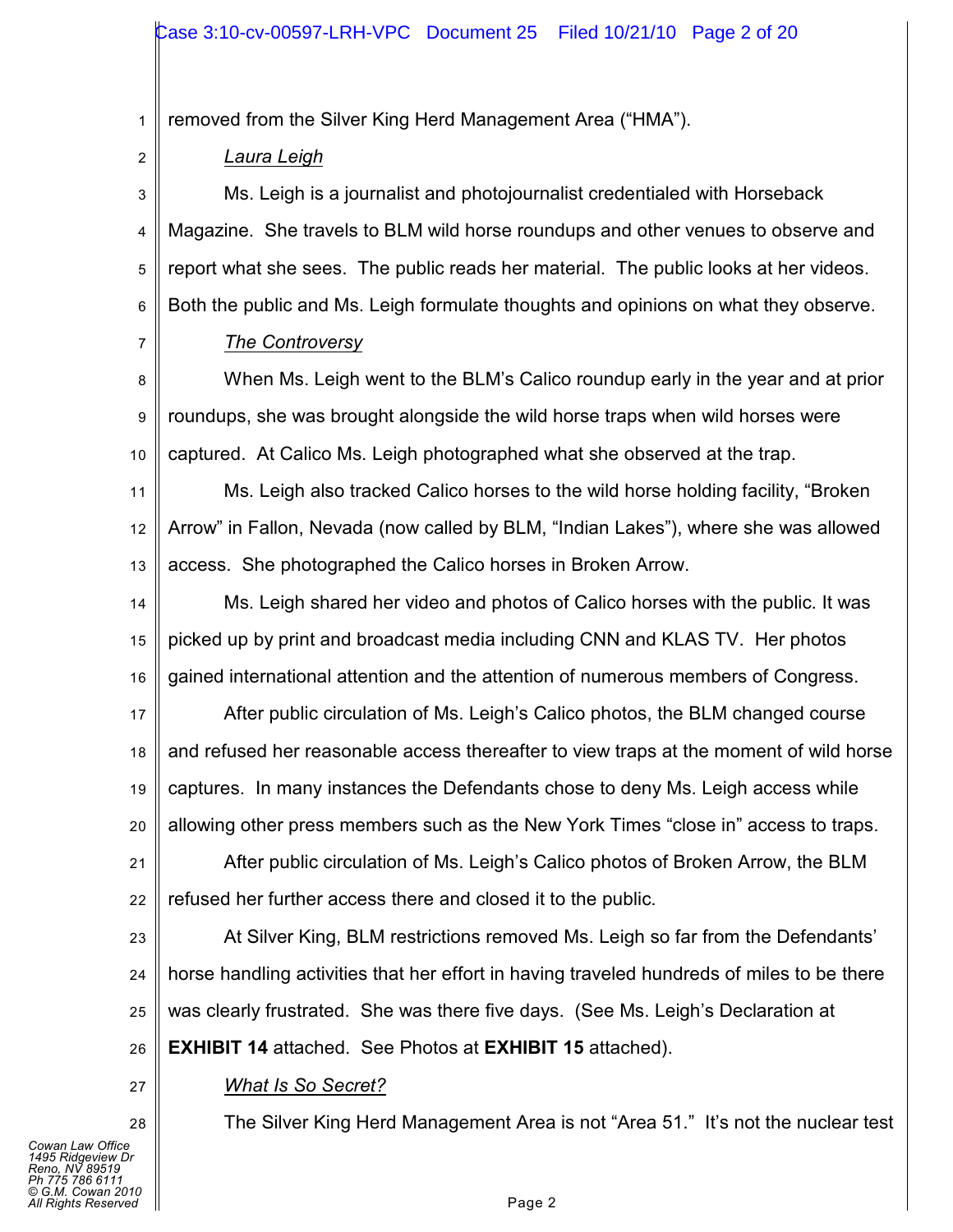1 removed from the Silver King Herd Management Area ("HMA").

2

*Laura Leigh*

3 4 5 6 Ms. Leigh is a journalist and photojournalist credentialed with Horseback Magazine. She travels to BLM wild horse roundups and other venues to observe and report what she sees. The public reads her material. The public looks at her videos. Both the public and Ms. Leigh formulate thoughts and opinions on what they observe.

7

# *The Controversy*

8 9 10 When Ms. Leigh went to the BLM's Calico roundup early in the year and at prior roundups, she was brought alongside the wild horse traps when wild horses were captured. At Calico Ms. Leigh photographed what she observed at the trap.

11 12 13 Ms. Leigh also tracked Calico horses to the wild horse holding facility, "Broken Arrow" in Fallon, Nevada (now called by BLM, "Indian Lakes"), where she was allowed access. She photographed the Calico horses in Broken Arrow.

14 15 16 Ms. Leigh shared her video and photos of Calico horses with the public. It was picked up by print and broadcast media including CNN and KLAS TV. Her photos gained international attention and the attention of numerous members of Congress.

17 18 19 20 After public circulation of Ms. Leigh's Calico photos, the BLM changed course and refused her reasonable access thereafter to view traps at the moment of wild horse captures. In many instances the Defendants chose to deny Ms. Leigh access while allowing other press members such as the New York Times "close in" access to traps.

21 22 After public circulation of Ms. Leigh's Calico photos of Broken Arrow, the BLM refused her further access there and closed it to the public.

23 24 25 26 At Silver King, BLM restrictions removed Ms. Leigh so far from the Defendants' horse handling activities that her effort in having traveled hundreds of miles to be there was clearly frustrated. She was there five days. (See Ms. Leigh's Declaration at **EXHIBIT 14** attached. See Photos at **EXHIBIT 15** attached).

*What Is So Secret?*

The Silver King Herd Management Area is not "Area 51." It's not the nuclear test

27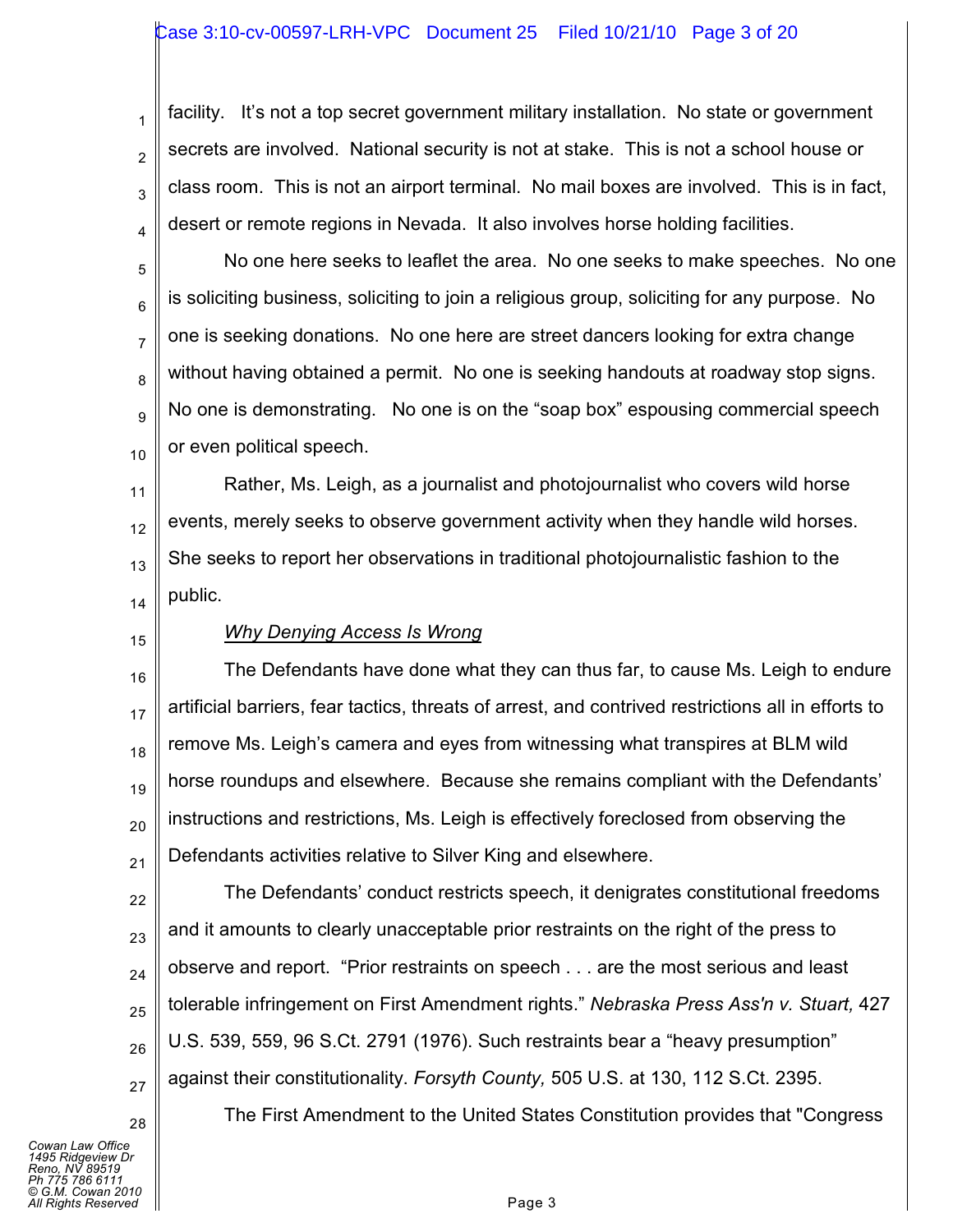### Case 3:10-cv-00597-LRH-VPC Document 25 Filed 10/21/10 Page 3 of 20

facility. It's not a top secret government military installation. No state or government secrets are involved. National security is not at stake. This is not a school house or class room. This is not an airport terminal. No mail boxes are involved. This is in fact, desert or remote regions in Nevada. It also involves horse holding facilities.

5 6 7 8 9 10 No one here seeks to leaflet the area. No one seeks to make speeches. No one is soliciting business, soliciting to join a religious group, soliciting for any purpose. No one is seeking donations. No one here are street dancers looking for extra change without having obtained a permit. No one is seeking handouts at roadway stop signs. No one is demonstrating. No one is on the "soap box" espousing commercial speech or even political speech.

11 12 13 14 Rather, Ms. Leigh, as a journalist and photojournalist who covers wild horse events, merely seeks to observe government activity when they handle wild horses. She seeks to report her observations in traditional photojournalistic fashion to the public.

15

1

2

3

4

### *Why Denying Access Is Wrong*

16 17 18 19 20 21 The Defendants have done what they can thus far, to cause Ms. Leigh to endure artificial barriers, fear tactics, threats of arrest, and contrived restrictions all in efforts to remove Ms. Leigh's camera and eyes from witnessing what transpires at BLM wild horse roundups and elsewhere. Because she remains compliant with the Defendants' instructions and restrictions, Ms. Leigh is effectively foreclosed from observing the Defendants activities relative to Silver King and elsewhere.

22 23 24 25 26 27 The Defendants' conduct restricts speech, it denigrates constitutional freedoms and it amounts to clearly unacceptable prior restraints on the right of the press to observe and report. "Prior restraints on speech . . . are the most serious and least tolerable infringement on First Amendment rights." *Nebraska Press Ass'n v. Stuart,* 427 U.S. 539, 559, 96 S.Ct. 2791 (1976). Such restraints bear a "heavy presumption" against their constitutionality. *Forsyth County,* 505 U.S. at 130, 112 S.Ct. 2395.

*Cowan Law Office 1495 Ridgeview Dr Reno, NV 89519 Ph 775 786 6111 © G.M. Cowan 2010*

28

The First Amendment to the United States Constitution provides that "Congress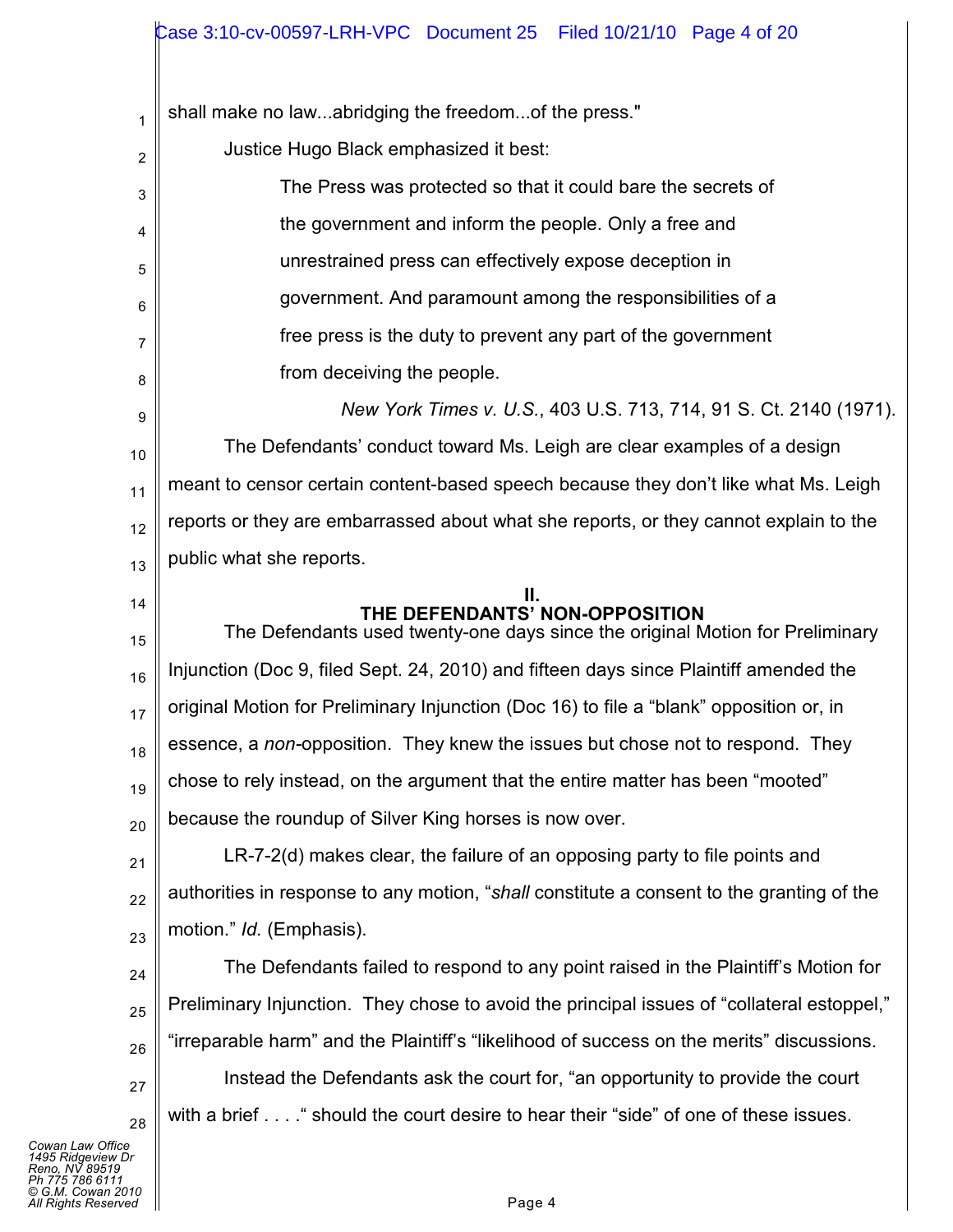1 2 3 4 5 6 7 8 9 10 11 12 13 14 15 16 17 18 19 20 21 22 23 24 25 26 27 28 shall make no law...abridging the freedom...of the press." Justice Hugo Black emphasized it best: The Press was protected so that it could bare the secrets of the government and inform the people. Only a free and unrestrained press can effectively expose deception in government. And paramount among the responsibilities of a free press is the duty to prevent any part of the government from deceiving the people. *New York Times v. U.S.*, 403 U.S. 713, 714, 91 S. Ct. 2140 (1971). The Defendants' conduct toward Ms. Leigh are clear examples of a design meant to censor certain content-based speech because they don't like what Ms. Leigh reports or they are embarrassed about what she reports, or they cannot explain to the public what she reports. **II. THE DEFENDANTS' NON-OPPOSITION** The Defendants used twenty-one days since the original Motion for Preliminary Injunction (Doc 9, filed Sept. 24, 2010) and fifteen days since Plaintiff amended the original Motion for Preliminary Injunction (Doc 16) to file a "blank" opposition or, in essence, a *non-*opposition. They knew the issues but chose not to respond. They chose to rely instead, on the argument that the entire matter has been "mooted" because the roundup of Silver King horses is now over. LR-7-2(d) makes clear, the failure of an opposing party to file points and authorities in response to any motion, "*shall* constitute a consent to the granting of the motion." *Id.* (Emphasis). The Defendants failed to respond to any point raised in the Plaintiff's Motion for Preliminary Injunction. They chose to avoid the principal issues of "collateral estoppel," "irreparable harm" and the Plaintiff's "likelihood of success on the merits" discussions. Instead the Defendants ask the court for, "an opportunity to provide the court with a brief . . . . " should the court desire to hear their "side" of one of these issues.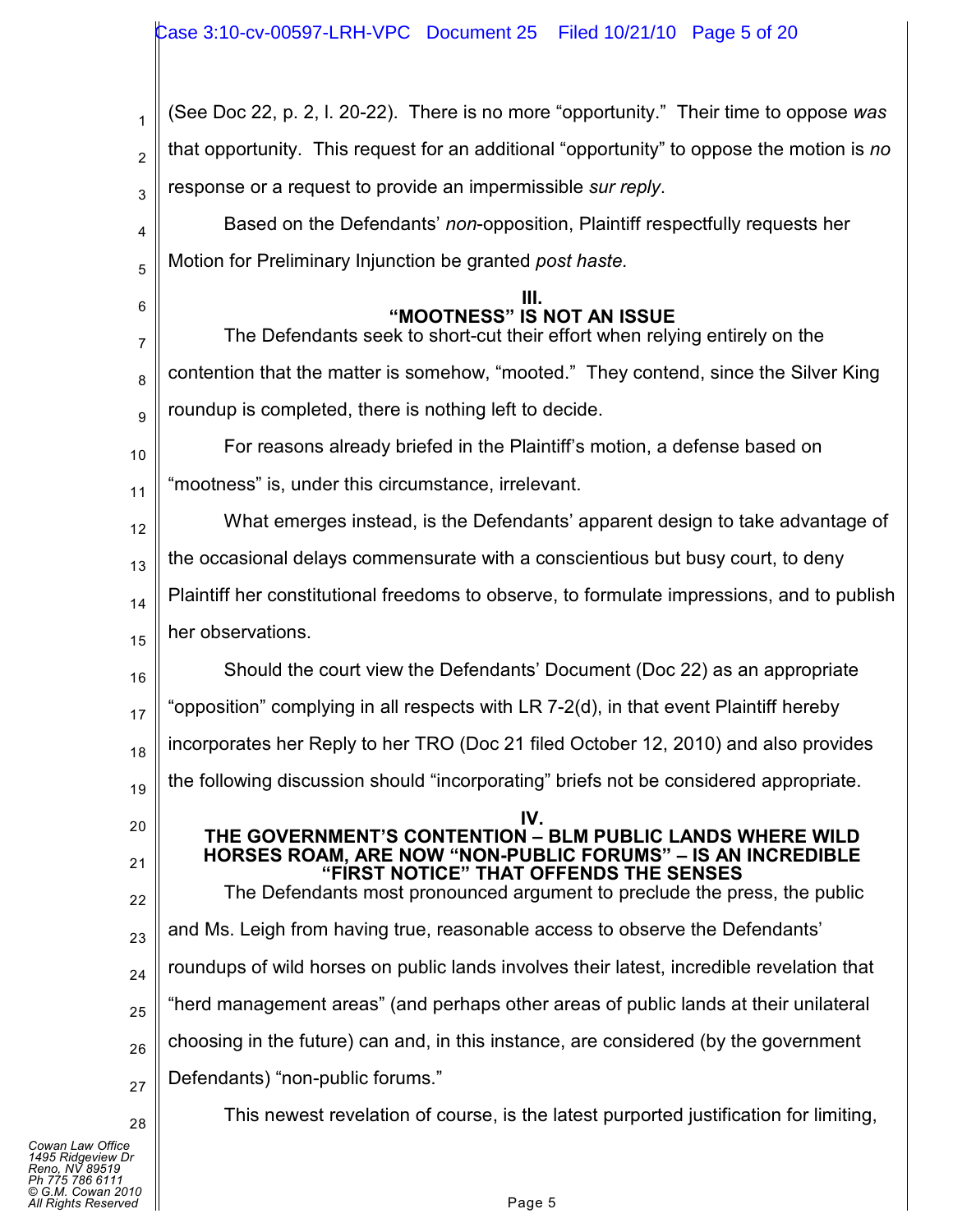| 1              | (See Doc 22, p. 2, I. 20-22). There is no more "opportunity." Their time to oppose was                   |
|----------------|----------------------------------------------------------------------------------------------------------|
| $\overline{2}$ | that opportunity. This request for an additional "opportunity" to oppose the motion is no                |
| 3              | response or a request to provide an impermissible sur reply.                                             |
| 4              | Based on the Defendants' non-opposition, Plaintiff respectfully requests her                             |
| 5              | Motion for Preliminary Injunction be granted post haste.                                                 |
| 6<br>7         | "MOOTNESS" IS NOT AN ISSUE<br>The Defendants seek to short-cut their effort when relying entirely on the |
| 8              | contention that the matter is somehow, "mooted." They contend, since the Silver King                     |
| 9              | roundup is completed, there is nothing left to decide.                                                   |
| 10             | For reasons already briefed in the Plaintiff's motion, a defense based on                                |
| 11             | "mootness" is, under this circumstance, irrelevant.                                                      |
| 12             | What emerges instead, is the Defendants' apparent design to take advantage of                            |
| 13             | the occasional delays commensurate with a conscientious but busy court, to deny                          |
| 14             | Plaintiff her constitutional freedoms to observe, to formulate impressions, and to publish               |
| 15             | her observations.                                                                                        |
| 16             | Should the court view the Defendants' Document (Doc 22) as an appropriate                                |
| 17             | 'opposition" complying in all respects with LR 7-2(d), in that event Plaintiff hereby                    |
| 18             | incorporates her Reply to her TRO (Doc 21 filed October 12, 2010) and also provides                      |
| 19             | the following discussion should "incorporating" briefs not be considered appropriate.                    |
| 20             | IV.<br>THE GOVERNMENT'S CONTENTION - BLM PUBLIC LANDS WHERE WILD                                         |
| 21             | HORSES ROAM, ARE NOW "NON-PUBLIC FORUMS" – IS AN INCREDIBLE<br>"FIRST NOTICE" THAT OFFENDS THE SENSES    |
| 22             | The Defendants most pronounced argument to preclude the press, the public                                |
| 23             | and Ms. Leigh from having true, reasonable access to observe the Defendants'                             |
| 24             | roundups of wild horses on public lands involves their latest, incredible revelation that                |
| 25             | "herd management areas" (and perhaps other areas of public lands at their unilateral                     |
| 26             | choosing in the future) can and, in this instance, are considered (by the government                     |
| 27             | Defendants) "non-public forums."                                                                         |
| 28             | This newest revelation of course, is the latest purported justification for limiting,                    |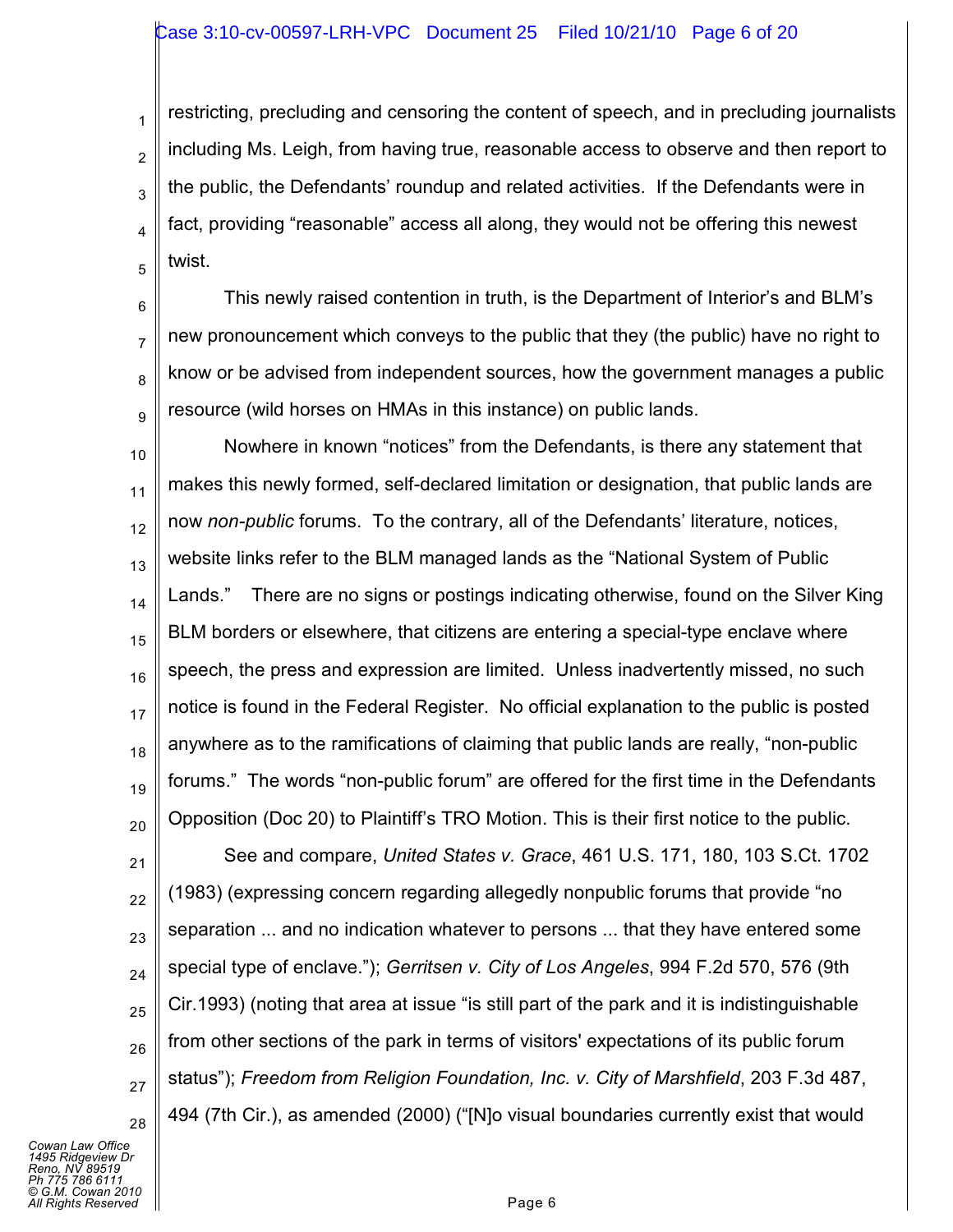### Case 3:10-cv-00597-LRH-VPC Document 25 Filed 10/21/10 Page 6 of 20

3 restricting, precluding and censoring the content of speech, and in precluding journalists including Ms. Leigh, from having true, reasonable access to observe and then report to the public, the Defendants' roundup and related activities. If the Defendants were in fact, providing "reasonable" access all along, they would not be offering this newest twist.

6 7 8 9 This newly raised contention in truth, is the Department of Interior's and BLM's new pronouncement which conveys to the public that they (the public) have no right to know or be advised from independent sources, how the government manages a public resource (wild horses on HMAs in this instance) on public lands.

10 11 12 13 14 15 16 17 18 19 20 Nowhere in known "notices" from the Defendants, is there any statement that makes this newly formed, self-declared limitation or designation, that public lands are now *non-public* forums. To the contrary, all of the Defendants' literature, notices, website links refer to the BLM managed lands as the "National System of Public Lands." There are no signs or postings indicating otherwise, found on the Silver King BLM borders or elsewhere, that citizens are entering a special-type enclave where speech, the press and expression are limited. Unless inadvertently missed, no such notice is found in the Federal Register. No official explanation to the public is posted anywhere as to the ramifications of claiming that public lands are really, "non-public forums." The words "non-public forum" are offered for the first time in the Defendants Opposition (Doc 20) to Plaintiff's TRO Motion. This is their first notice to the public.

21 22 23 24 25 26 27 28 See and compare, *United States v. Grace*, 461 U.S. 171, 180, 103 S.Ct. 1702 (1983) (expressing concern regarding allegedly nonpublic forums that provide "no separation ... and no indication whatever to persons ... that they have entered some special type of enclave."); *Gerritsen v. City of Los Angeles*, 994 F.2d 570, 576 (9th Cir.1993) (noting that area at issue "is still part of the park and it is indistinguishable from other sections of the park in terms of visitors' expectations of its public forum status"); *Freedom from Religion Foundation, Inc. v. City of Marshfield*, 203 F.3d 487, 494 (7th Cir.), as amended (2000) ("[N]o visual boundaries currently exist that would

*Cowan Law Office 1495 Ridgeview Dr Reno, NV 89519 Ph 775 786 6111 © G.M. Cowan 2010 All Rights Reserved* Page 6

1

2

4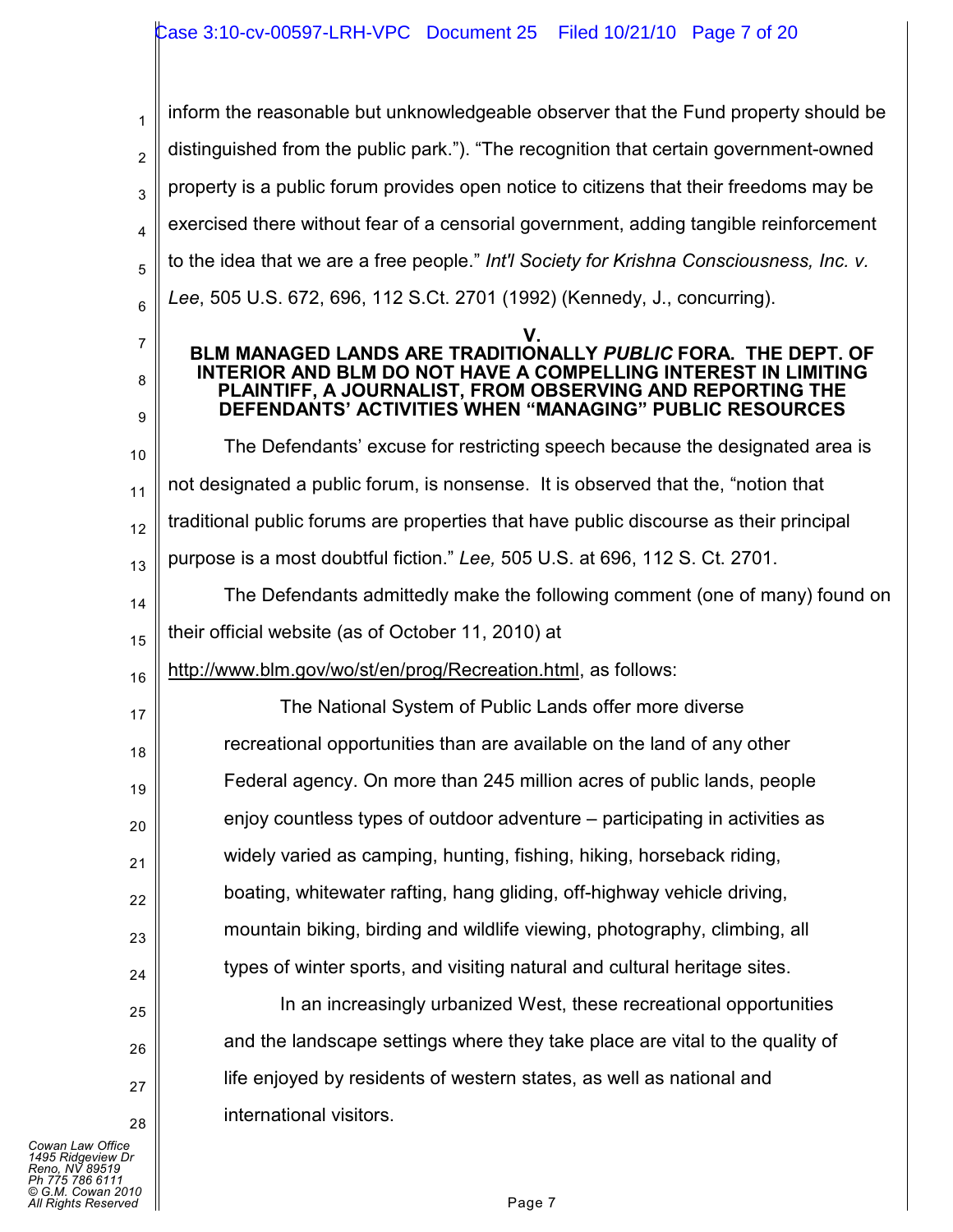## Case 3:10-cv-00597-LRH-VPC Document 25 Filed 10/21/10 Page 7 of 20

1 2 3 4 5 6 7 8 9 10 11 12 13 14 15 16 inform the reasonable but unknowledgeable observer that the Fund property should be distinguished from the public park."). "The recognition that certain government-owned property is a public forum provides open notice to citizens that their freedoms may be exercised there without fear of a censorial government, adding tangible reinforcement to the idea that we are a free people." *Int'l Society for Krishna Consciousness, Inc. v. Lee*, 505 U.S. 672, 696, 112 S.Ct. 2701 (1992) (Kennedy, J., concurring). **V. BLM MANAGED LANDS ARE TRADITIONALLY** *PUBLIC* **FORA. THE DEPT. OF INTERIOR AND BLM DO NOT HAVE A COMPELLING INTEREST IN LIMITING PLAINTIFF, A JOURNALIST, FROM OBSERVING AND REPORTING THE DEFENDANTS' ACTIVITIES WHEN "MANAGING" PUBLIC RESOURCES** The Defendants' excuse for restricting speech because the designated area is not designated a public forum, is nonsense. It is observed that the, "notion that traditional public forums are properties that have public discourse as their principal purpose is a most doubtful fiction." *Lee,* 505 U.S. at 696, 112 S. Ct. 2701. The Defendants admittedly make the following comment (one of many) found on their official website (as of October 11, 2010) at http://www.blm.gov/wo/st/en/prog/Recreation.html, as follows:

17 18 19 20 21 22 23 24 The National System of Public Lands offer more diverse recreational opportunities than are available on the land of any other Federal agency. On more than 245 million acres of public lands, people enjoy countless types of outdoor adventure – participating in activities as widely varied as camping, hunting, fishing, hiking, horseback riding, boating, whitewater rafting, hang gliding, off-highway vehicle driving, mountain biking, birding and wildlife viewing, photography, climbing, all types of winter sports, and visiting natural and cultural heritage sites.

> In an increasingly urbanized West, these recreational opportunities and the landscape settings where they take place are vital to the quality of life enjoyed by residents of western states, as well as national and international visitors.

*Cowan Law Office 1495 Ridgeview Dr Reno, NV 89519 Ph 775 786 6111 © G.M. Cowan 2010 All Rights Reserved* Page 7

25

26

27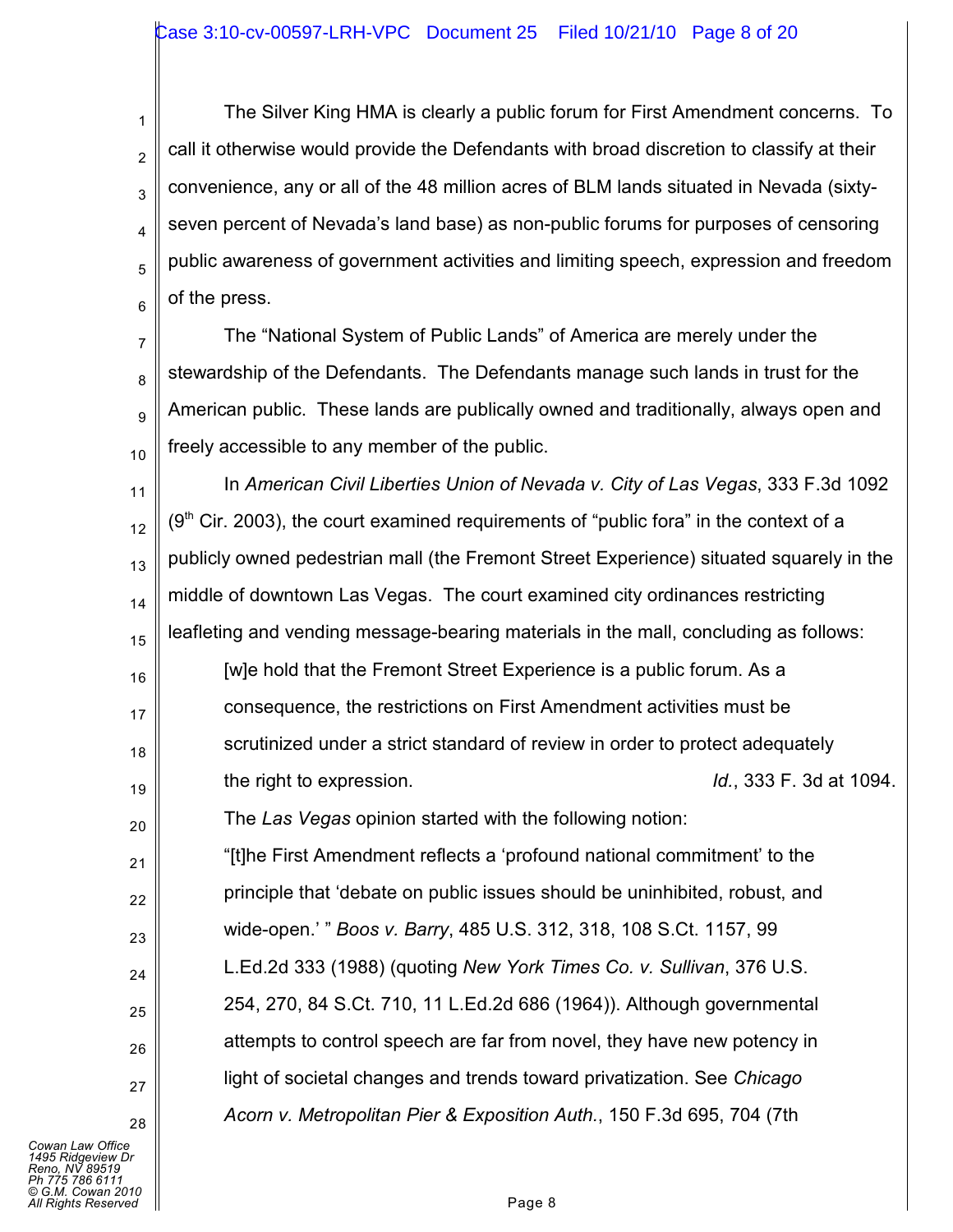1 2 3 4 5 6 The Silver King HMA is clearly a public forum for First Amendment concerns. To call it otherwise would provide the Defendants with broad discretion to classify at their convenience, any or all of the 48 million acres of BLM lands situated in Nevada (sixtyseven percent of Nevada's land base) as non-public forums for purposes of censoring public awareness of government activities and limiting speech, expression and freedom of the press.

7 8 9 10 The "National System of Public Lands" of America are merely under the stewardship of the Defendants. The Defendants manage such lands in trust for the American public. These lands are publically owned and traditionally, always open and freely accessible to any member of the public.

11 12 13 14 15 16 17 In *American Civil Liberties Union of Nevada v. City of Las Vegas*, 333 F.3d 1092  $(9<sup>th</sup>$  Cir. 2003), the court examined requirements of "public fora" in the context of a publicly owned pedestrian mall (the Fremont Street Experience) situated squarely in the middle of downtown Las Vegas. The court examined city ordinances restricting leafleting and vending message-bearing materials in the mall, concluding as follows: [w]e hold that the Fremont Street Experience is a public forum. As a consequence, the restrictions on First Amendment activities must be

- scrutinized under a strict standard of review in order to protect adequately
- 19 the right to expression. *Id.*, 333 F. 3d at 1094. The *Las Vegas* opinion started with the following notion:

"[t]he First Amendment reflects a 'profound national commitment' to the principle that 'debate on public issues should be uninhibited, robust, and wide-open.' " *Boos v. Barry*, 485 U.S. 312, 318, 108 S.Ct. 1157, 99 L.Ed.2d 333 (1988) (quoting *New York Times Co. v. Sullivan*, 376 U.S. 254, 270, 84 S.Ct. 710, 11 L.Ed.2d 686 (1964)). Although governmental attempts to control speech are far from novel, they have new potency in light of societal changes and trends toward privatization. See *Chicago Acorn v. Metropolitan Pier & Exposition Auth.*, 150 F.3d 695, 704 (7th

*Cowan Law Office 1495 Ridgeview Dr Reno, NV 89519 Ph 775 786 6111 © G.M. Cowan 2010 All Rights Reserved* Page 8

18

20

21

22

23

24

25

26

27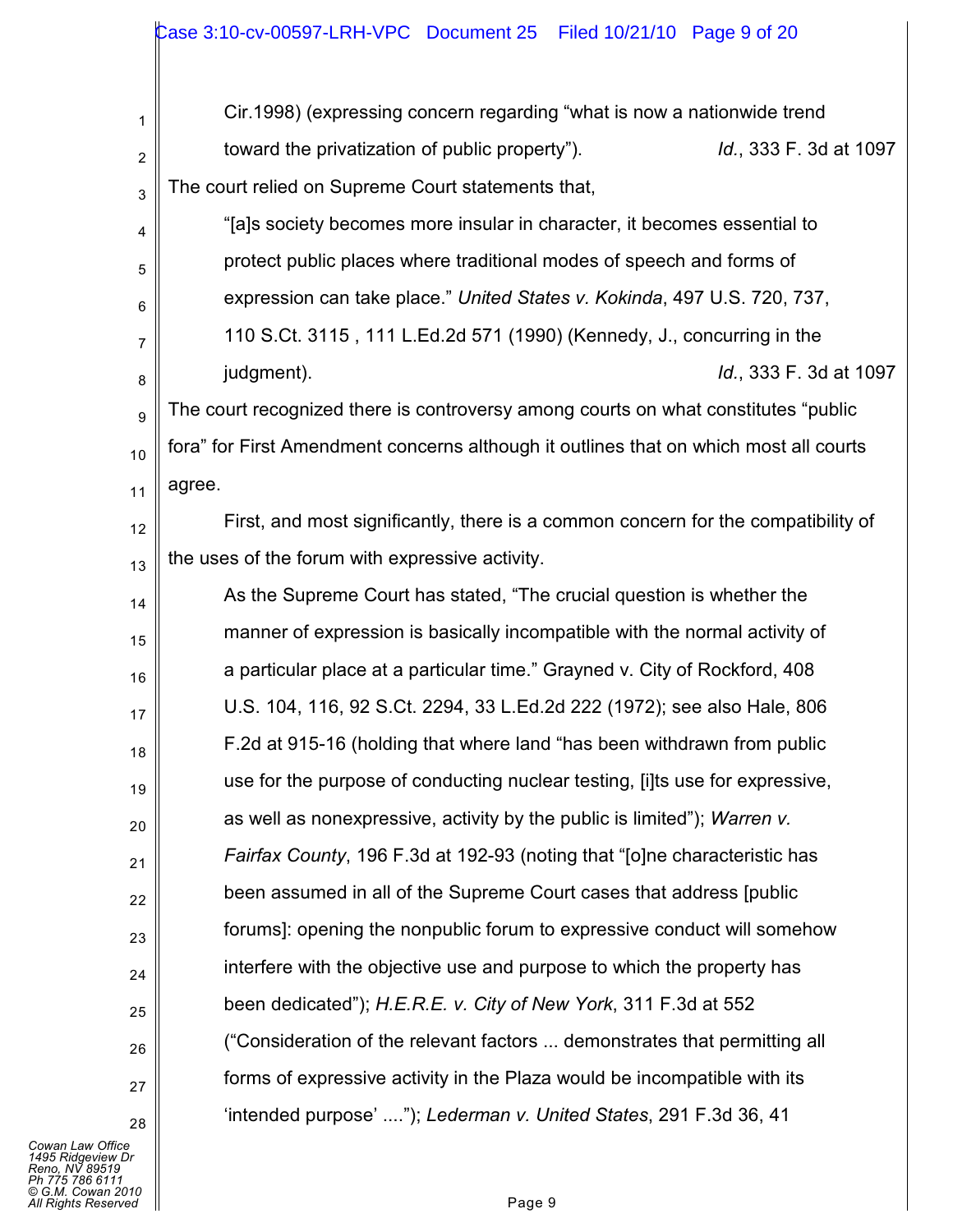| 1              | Cir.1998) (expressing concern regarding "what is now a nationwide trend               |
|----------------|---------------------------------------------------------------------------------------|
| $\overline{2}$ | Id., 333 F. 3d at 1097<br>toward the privatization of public property").              |
| 3              | The court relied on Supreme Court statements that,                                    |
| 4              | "[a]s society becomes more insular in character, it becomes essential to              |
| 5              | protect public places where traditional modes of speech and forms of                  |
| 6              | expression can take place." United States v. Kokinda, 497 U.S. 720, 737,              |
| 7              | 110 S.Ct. 3115, 111 L.Ed.2d 571 (1990) (Kennedy, J., concurring in the                |
| 8              | Id., 333 F. 3d at 1097<br>judgment).                                                  |
| 9              | The court recognized there is controversy among courts on what constitutes "public    |
| 10             | fora" for First Amendment concerns although it outlines that on which most all courts |
| 11             | agree.                                                                                |
| 12             | First, and most significantly, there is a common concern for the compatibility of     |
| 13             | the uses of the forum with expressive activity.                                       |
| 14             | As the Supreme Court has stated, "The crucial question is whether the                 |
| 15             | manner of expression is basically incompatible with the normal activity of            |
| 16             | a particular place at a particular time." Grayned v. City of Rockford, 408            |
| 17             | U.S. 104, 116, 92 S.Ct. 2294, 33 L.Ed.2d 222 (1972); see also Hale, 806               |
| 18             | F.2d at 915-16 (holding that where land "has been withdrawn from public               |
| 19             | use for the purpose of conducting nuclear testing, [i]ts use for expressive,          |
| 20             | as well as nonexpressive, activity by the public is limited"); Warren v.              |
| 21             | Fairfax County, 196 F.3d at 192-93 (noting that "[o]ne characteristic has             |
| 22             | been assumed in all of the Supreme Court cases that address [public]                  |
| 23             | forums]: opening the nonpublic forum to expressive conduct will somehow               |
| 24             | interfere with the objective use and purpose to which the property has                |
| 25             | been dedicated"); H.E.R.E. v. City of New York, 311 F.3d at 552                       |
| 26             | ("Consideration of the relevant factors  demonstrates that permitting all             |
| 27             | forms of expressive activity in the Plaza would be incompatible with its              |
| 28             | 'intended purpose' "); Lederman v. United States, 291 F.3d 36, 41                     |

*Cowan Law Office*<br>1495 Ridgeview Dr<br>Reno, NV 89519<br>Ph 775 786 6111<br>All Rights Reserved ■<br>All Rights Reserved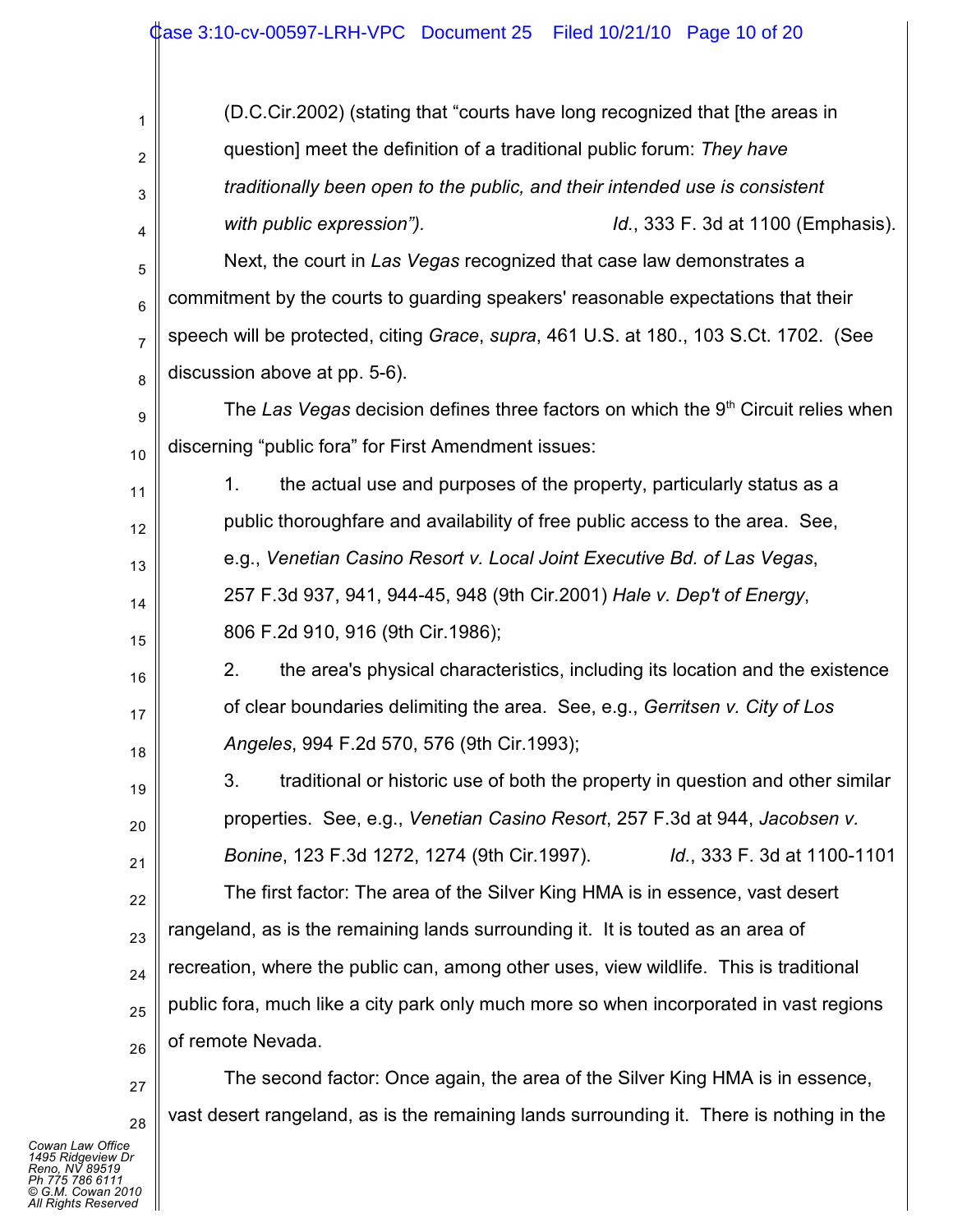## Case 3:10-cv-00597-LRH-VPC Document 25 Filed 10/21/10 Page 10 of 20

| 1  | (D.C.Cir.2002) (stating that "courts have long recognized that [the areas in             |
|----|------------------------------------------------------------------------------------------|
| 2  | question] meet the definition of a traditional public forum: They have                   |
| 3  | traditionally been open to the public, and their intended use is consistent              |
| 4  | with public expression").<br>Id., 333 F. 3d at 1100 (Emphasis).                          |
| 5  | Next, the court in Las Vegas recognized that case law demonstrates a                     |
| 6  | commitment by the courts to guarding speakers' reasonable expectations that their        |
| 7  | speech will be protected, citing Grace, supra, 461 U.S. at 180., 103 S.Ct. 1702. (See    |
| 8  | discussion above at pp. 5-6).                                                            |
| 9  | The Las Vegas decision defines three factors on which the $9th$ Circuit relies when      |
| 10 | discerning "public fora" for First Amendment issues:                                     |
| 11 | the actual use and purposes of the property, particularly status as a<br>1.              |
| 12 | public thoroughfare and availability of free public access to the area. See,             |
| 13 | e.g., Venetian Casino Resort v. Local Joint Executive Bd. of Las Vegas,                  |
| 14 | 257 F.3d 937, 941, 944-45, 948 (9th Cir.2001) Hale v. Dep't of Energy,                   |
| 15 | 806 F.2d 910, 916 (9th Cir.1986);                                                        |
| 16 | 2.<br>the area's physical characteristics, including its location and the existence      |
| 17 | of clear boundaries delimiting the area. See, e.g., Gerritsen v. City of Los             |
| 18 | Angeles, 994 F.2d 570, 576 (9th Cir.1993);                                               |
| 19 | traditional or historic use of both the property in question and other similar<br>3.     |
| 20 | properties. See, e.g., Venetian Casino Resort, 257 F.3d at 944, Jacobsen v.              |
| 21 | Bonine, 123 F.3d 1272, 1274 (9th Cir.1997).<br><i>Id.</i> , 333 F. 3d at 1100-1101       |
| 22 | The first factor: The area of the Silver King HMA is in essence, vast desert             |
| 23 | rangeland, as is the remaining lands surrounding it. It is touted as an area of          |
| 24 | recreation, where the public can, among other uses, view wildlife. This is traditional   |
| 25 | public fora, much like a city park only much more so when incorporated in vast regions   |
| 26 | of remote Nevada.                                                                        |
| 27 | The second factor: Once again, the area of the Silver King HMA is in essence,            |
| 28 | vast desert rangeland, as is the remaining lands surrounding it. There is nothing in the |

*Cowan Law Office 1495 Ridgeview Dr Reno, NV 89519 Ph 775 786 6111 © G.M. Cowan 2010 All Rights Reserved*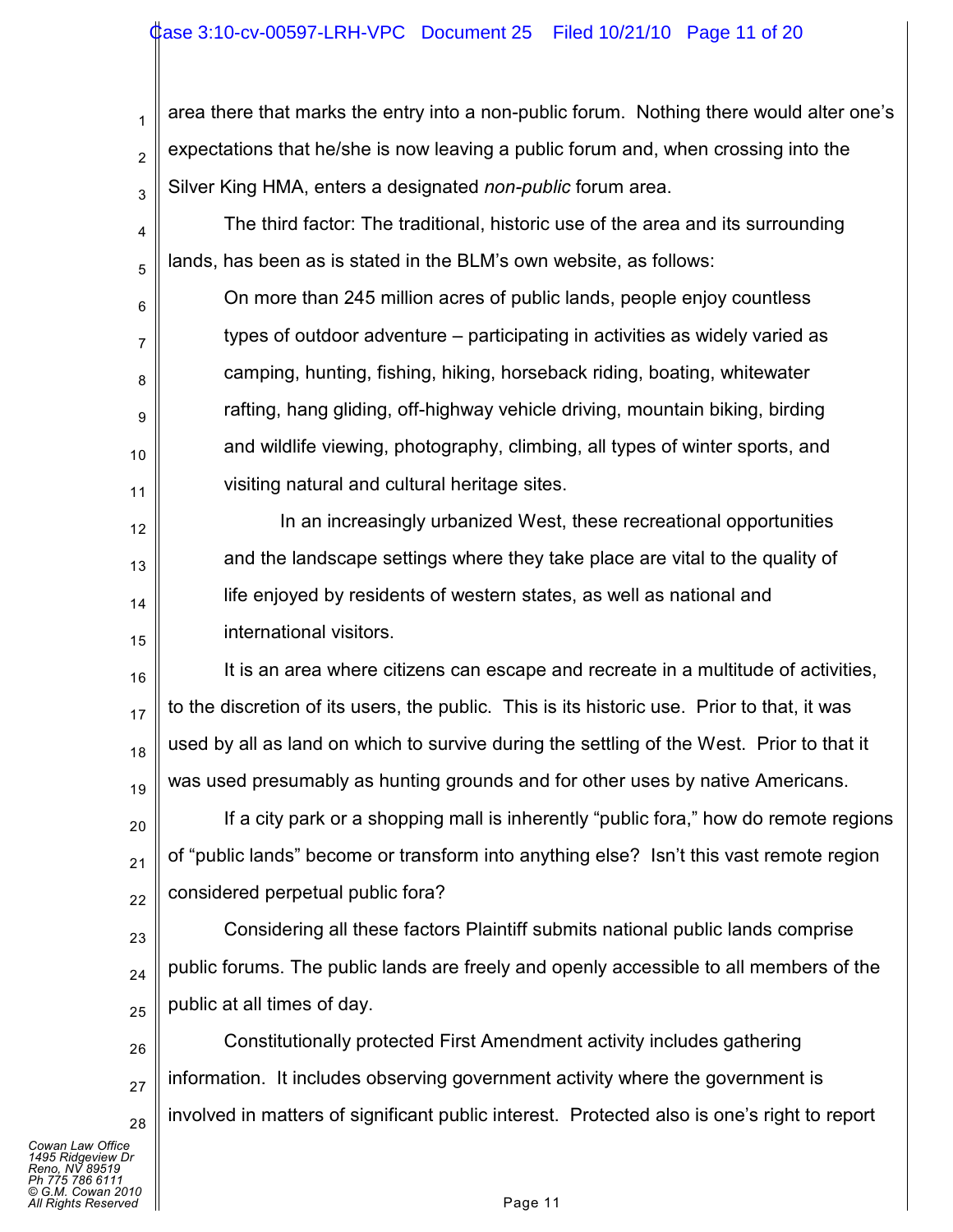### ase 3:10-cv-00597-LRH-VPC Document 25 Filed 10/21/10 Page 11 of 20

1 2 3 4 area there that marks the entry into a non-public forum. Nothing there would alter one's expectations that he/she is now leaving a public forum and, when crossing into the Silver King HMA, enters a designated *non-public* forum area. The third factor: The traditional, historic use of the area and its surrounding

6 7 8 9 10 11 On more than 245 million acres of public lands, people enjoy countless types of outdoor adventure – participating in activities as widely varied as camping, hunting, fishing, hiking, horseback riding, boating, whitewater rafting, hang gliding, off-highway vehicle driving, mountain biking, birding and wildlife viewing, photography, climbing, all types of winter sports, and visiting natural and cultural heritage sites.

lands, has been as is stated in the BLM's own website, as follows:

In an increasingly urbanized West, these recreational opportunities and the landscape settings where they take place are vital to the quality of life enjoyed by residents of western states, as well as national and international visitors.

16 17 18 19 It is an area where citizens can escape and recreate in a multitude of activities, to the discretion of its users, the public. This is its historic use. Prior to that, it was used by all as land on which to survive during the settling of the West. Prior to that it was used presumably as hunting grounds and for other uses by native Americans.

20 21 22 If a city park or a shopping mall is inherently "public fora," how do remote regions of "public lands" become or transform into anything else? Isn't this vast remote region considered perpetual public fora?

23 24 25 Considering all these factors Plaintiff submits national public lands comprise public forums. The public lands are freely and openly accessible to all members of the public at all times of day.

26 27 28 Constitutionally protected First Amendment activity includes gathering information. It includes observing government activity where the government is involved in matters of significant public interest. Protected also is one's right to report

*Cowan Law Office 1495 Ridgeview Dr Reno, NV 89519 Ph 775 786 6111 © G.M. Cowan 2010 Alights Reserved* Page 11

5

12

13

14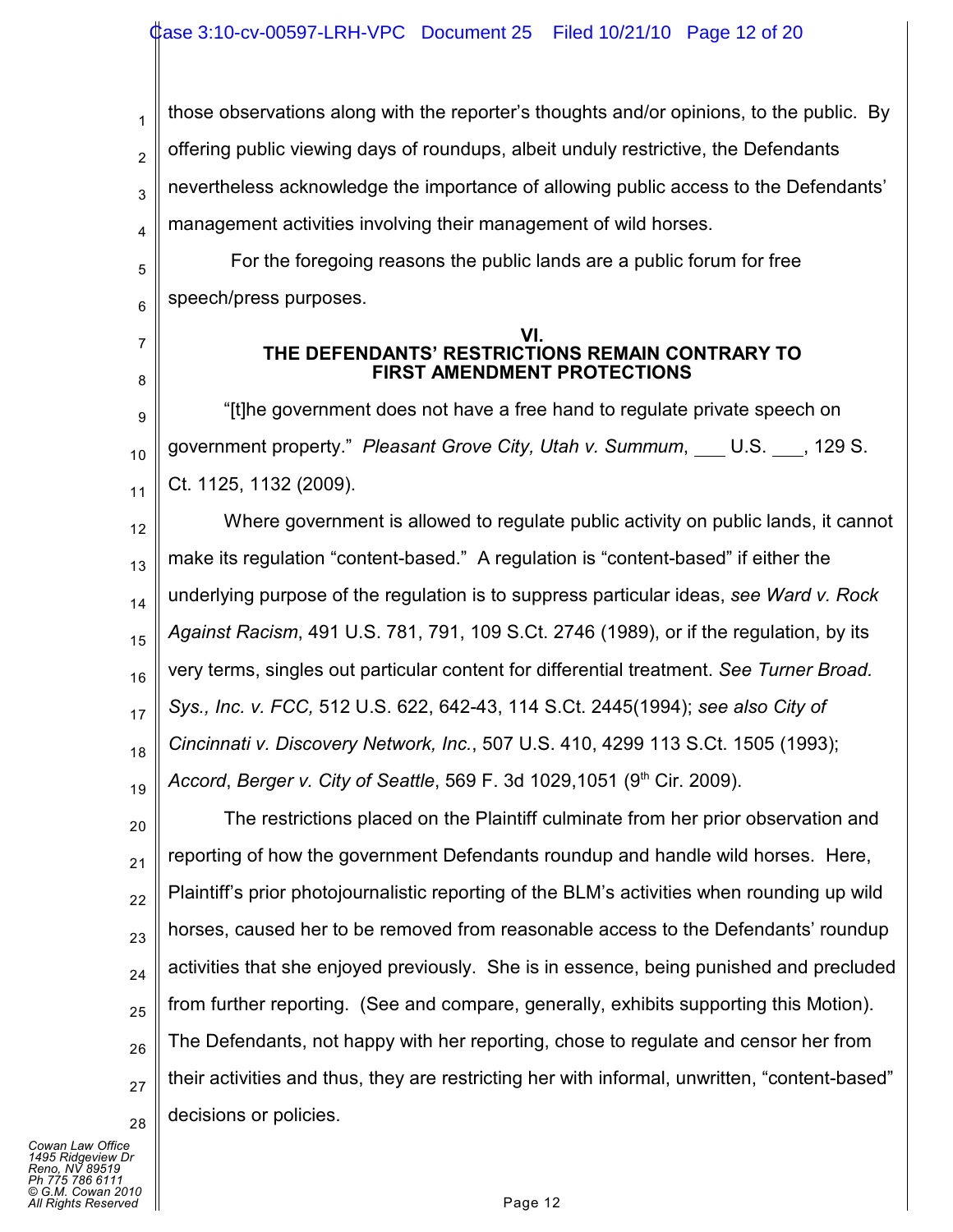1 2 3 4 those observations along with the reporter's thoughts and/or opinions, to the public. By offering public viewing days of roundups, albeit unduly restrictive, the Defendants nevertheless acknowledge the importance of allowing public access to the Defendants' management activities involving their management of wild horses.

5 6 For the foregoing reasons the public lands are a public forum for free speech/press purposes.

#### **VI. THE DEFENDANTS' RESTRICTIONS REMAIN CONTRARY TO FIRST AMENDMENT PROTECTIONS**

9 10 11 "[t]he government does not have a free hand to regulate private speech on government property." Pleasant Grove City, Utah v. Summum, U.S. 129 S. Ct. 1125, 1132 (2009).

12 13 14 15 16 17 18 19 Where government is allowed to regulate public activity on public lands, it cannot make its regulation "content-based." A regulation is "content-based" if either the underlying purpose of the regulation is to suppress particular ideas, *see Ward v. Rock Against Racism*, 491 U.S. 781, 791, 109 S.Ct. 2746 (1989), or if the regulation, by its very terms, singles out particular content for differential treatment. *See Turner Broad. Sys., Inc. v. FCC,* 512 U.S. 622, 642-43, 114 S.Ct. 2445(1994); *see also City of Cincinnati v. Discovery Network, Inc.*, 507 U.S. 410, 4299 113 S.Ct. 1505 (1993); *Accord, Berger v. City of Seattle, 569 F. 3d 1029,1051 (9<sup>th</sup> Cir. 2009).* 

20 21 22 23 24 25 26 27 28 The restrictions placed on the Plaintiff culminate from her prior observation and reporting of how the government Defendants roundup and handle wild horses. Here, Plaintiff's prior photojournalistic reporting of the BLM's activities when rounding up wild horses, caused her to be removed from reasonable access to the Defendants' roundup activities that she enjoyed previously. She is in essence, being punished and precluded from further reporting. (See and compare, generally, exhibits supporting this Motion). The Defendants, not happy with her reporting, chose to regulate and censor her from their activities and thus, they are restricting her with informal, unwritten, "content-based" decisions or policies.

*Cowan Law Office 1495 Ridgeview Dr Reno, NV 89519 Ph 775 786 6111 © G.M. Cowan 2010 Alghts Reserved* Page 12

7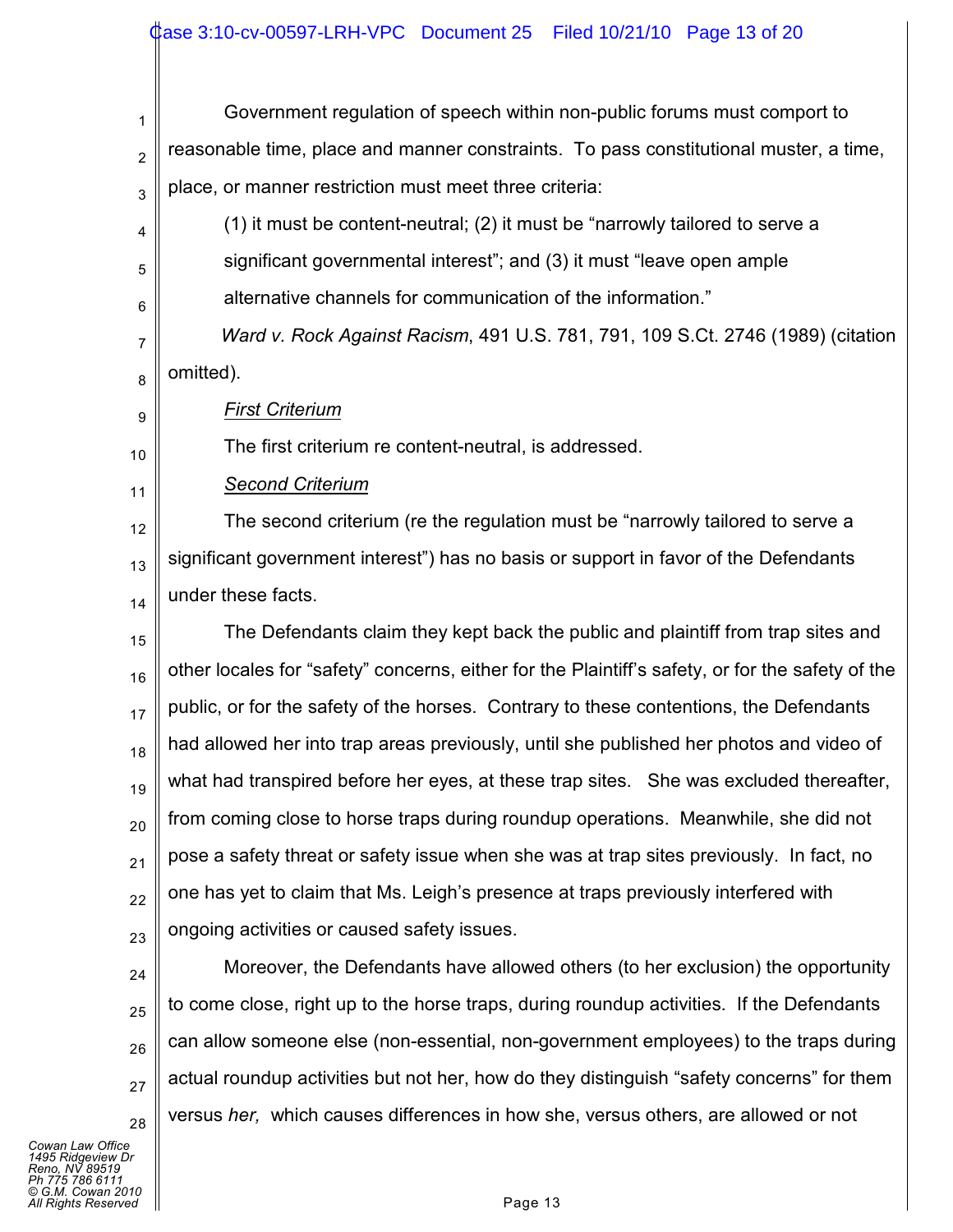### Case 3:10-cv-00597-LRH-VPC Document 25 Filed 10/21/10 Page 13 of 20

1 2 3 4 5 6 7 8 9 10 11 12 13 14 15 16 17 18 19 20 21 22 23 24 25 26 27 Government regulation of speech within non-public forums must comport to reasonable time, place and manner constraints. To pass constitutional muster, a time, place, or manner restriction must meet three criteria: (1) it must be content-neutral; (2) it must be "narrowly tailored to serve a significant governmental interest"; and (3) it must "leave open ample alternative channels for communication of the information." *Ward v. Rock Against Racism*, 491 U.S. 781, 791, 109 S.Ct. 2746 (1989) (citation omitted). *First Criterium* The first criterium re content-neutral, is addressed. *Second Criterium* The second criterium (re the regulation must be "narrowly tailored to serve a significant government interest") has no basis or support in favor of the Defendants under these facts. The Defendants claim they kept back the public and plaintiff from trap sites and other locales for "safety" concerns, either for the Plaintiff's safety, or for the safety of the public, or for the safety of the horses. Contrary to these contentions, the Defendants had allowed her into trap areas previously, until she published her photos and video of what had transpired before her eyes, at these trap sites. She was excluded thereafter, from coming close to horse traps during roundup operations. Meanwhile, she did not pose a safety threat or safety issue when she was at trap sites previously. In fact, no one has yet to claim that Ms. Leigh's presence at traps previously interfered with ongoing activities or caused safety issues. Moreover, the Defendants have allowed others (to her exclusion) the opportunity to come close, right up to the horse traps, during roundup activities. If the Defendants can allow someone else (non-essential, non-government employees) to the traps during actual roundup activities but not her, how do they distinguish "safety concerns" for them

*Cowan Law Office 1495 Ridgeview Dr Reno, NV 89519 Ph 775 786 6111 © G.M. Cowan 2010 Alghts Reserved* **Page 13** 

28

versus *her,* which causes differences in how she, versus others, are allowed or not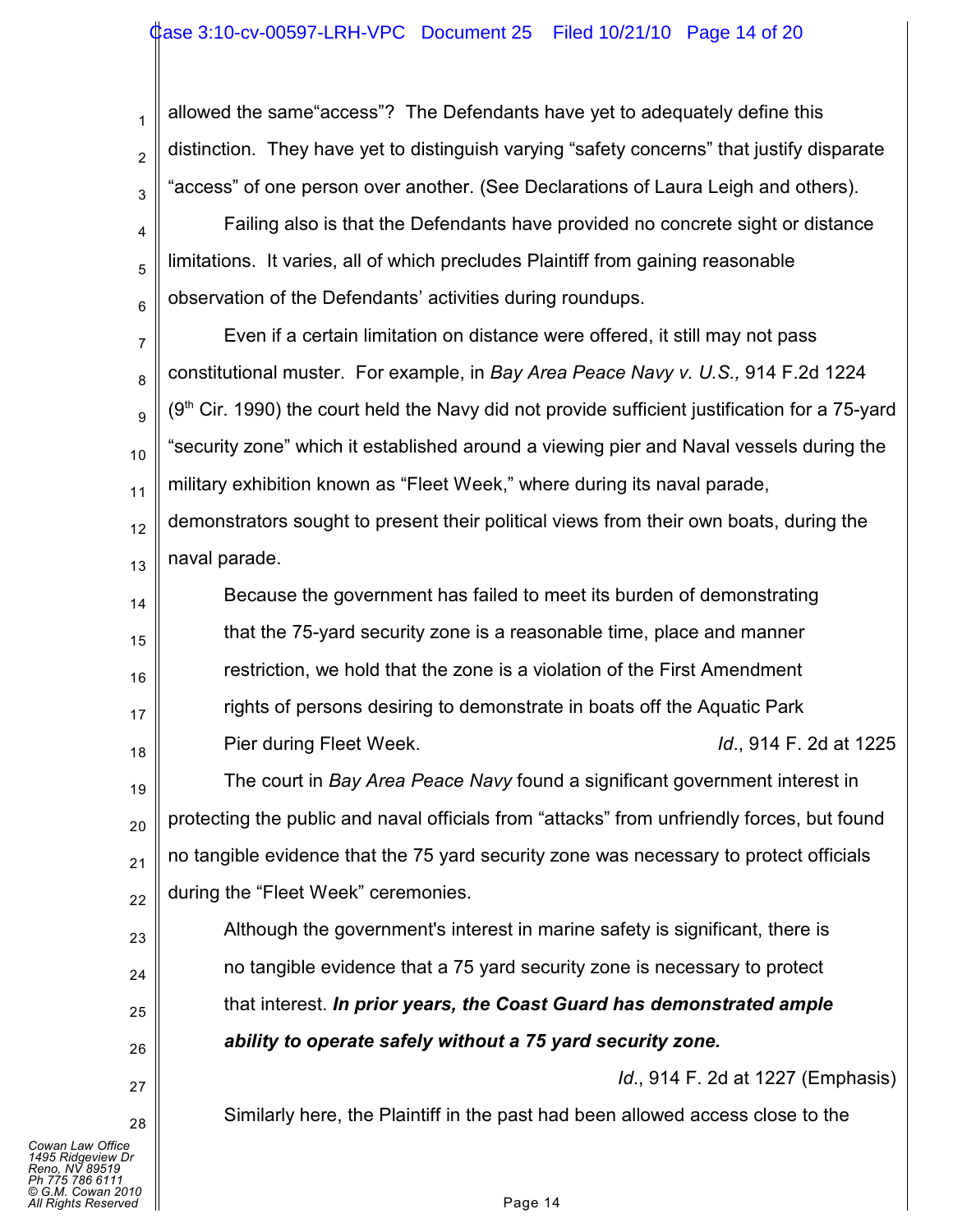## ase 3:10-cv-00597-LRH-VPC Document 25 Filed 10/21/10 Page 14 of 20

3 allowed the same"access"? The Defendants have yet to adequately define this distinction. They have yet to distinguish varying "safety concerns" that justify disparate "access" of one person over another. (See Declarations of Laura Leigh and others).

4 5 6 Failing also is that the Defendants have provided no concrete sight or distance limitations. It varies, all of which precludes Plaintiff from gaining reasonable observation of the Defendants' activities during roundups.

7 8 9 10 11 12 Even if a certain limitation on distance were offered, it still may not pass constitutional muster. For example, in *Bay Area Peace Navy v. U.S.,* 914 F.2d 1224  $(9<sup>th</sup>$  Cir. 1990) the court held the Navy did not provide sufficient justification for a 75-yard "security zone" which it established around a viewing pier and Naval vessels during the military exhibition known as "Fleet Week," where during its naval parade, demonstrators sought to present their political views from their own boats, during the

13 naval parade.

1

2

14 15 16 17 18 Because the government has failed to meet its burden of demonstrating that the 75-yard security zone is a reasonable time, place and manner restriction, we hold that the zone is a violation of the First Amendment rights of persons desiring to demonstrate in boats off the Aquatic Park Pier during Fleet Week. *Id*., 914 F. 2d at 1225

19 20 21 22 The court in *Bay Area Peace Navy* found a significant government interest in protecting the public and naval officials from "attacks" from unfriendly forces, but found no tangible evidence that the 75 yard security zone was necessary to protect officials during the "Fleet Week" ceremonies.

Although the government's interest in marine safety is significant, there is no tangible evidence that a 75 yard security zone is necessary to protect that interest. *In prior years, the Coast Guard has demonstrated ample ability to operate safely without a 75 yard security zone.*

*Id*., 914 F. 2d at 1227 (Emphasis)

Similarly here, the Plaintiff in the past had been allowed access close to the

23

24

25

26

27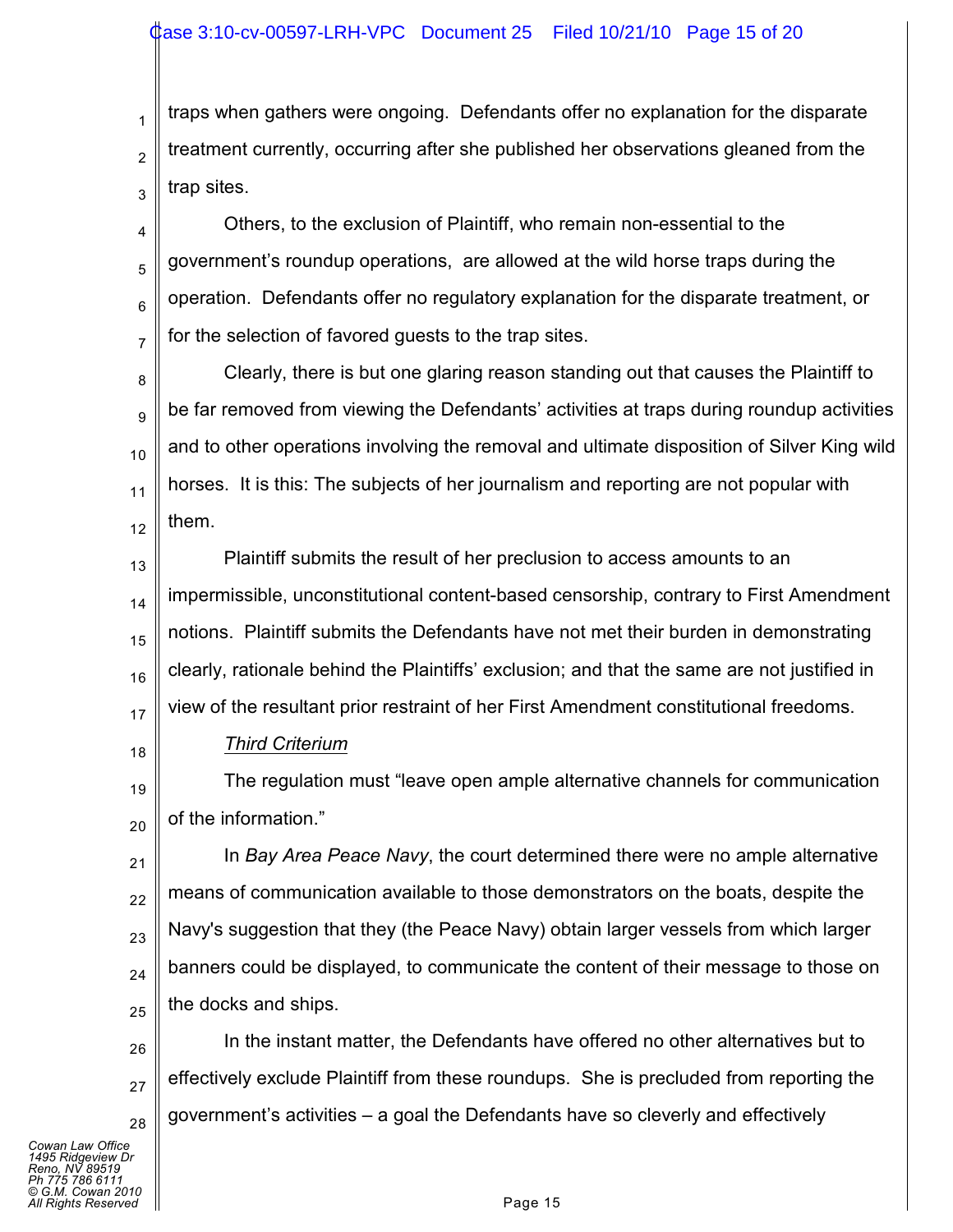1 2 3 traps when gathers were ongoing. Defendants offer no explanation for the disparate treatment currently, occurring after she published her observations gleaned from the trap sites.

4 5 6 7 Others, to the exclusion of Plaintiff, who remain non-essential to the government's roundup operations, are allowed at the wild horse traps during the operation. Defendants offer no regulatory explanation for the disparate treatment, or for the selection of favored guests to the trap sites.

8 9 10 11 12 Clearly, there is but one glaring reason standing out that causes the Plaintiff to be far removed from viewing the Defendants' activities at traps during roundup activities and to other operations involving the removal and ultimate disposition of Silver King wild horses. It is this: The subjects of her journalism and reporting are not popular with them.

13 14 15 16 17 Plaintiff submits the result of her preclusion to access amounts to an impermissible, unconstitutional content-based censorship, contrary to First Amendment notions. Plaintiff submits the Defendants have not met their burden in demonstrating clearly, rationale behind the Plaintiffs' exclusion; and that the same are not justified in view of the resultant prior restraint of her First Amendment constitutional freedoms.

18

*Third Criterium*

19 20 The regulation must "leave open ample alternative channels for communication of the information."

21 22 23 24 25 In *Bay Area Peace Navy*, the court determined there were no ample alternative means of communication available to those demonstrators on the boats, despite the Navy's suggestion that they (the Peace Navy) obtain larger vessels from which larger banners could be displayed, to communicate the content of their message to those on the docks and ships.

26 27 28 In the instant matter, the Defendants have offered no other alternatives but to effectively exclude Plaintiff from these roundups. She is precluded from reporting the government's activities – a goal the Defendants have so cleverly and effectively

*Cowan Law Office 1495 Ridgeview Dr Reno, NV 89519 Ph 775 786 6111 © G.M. Cowan 2010 Alghts Reserved* Page 15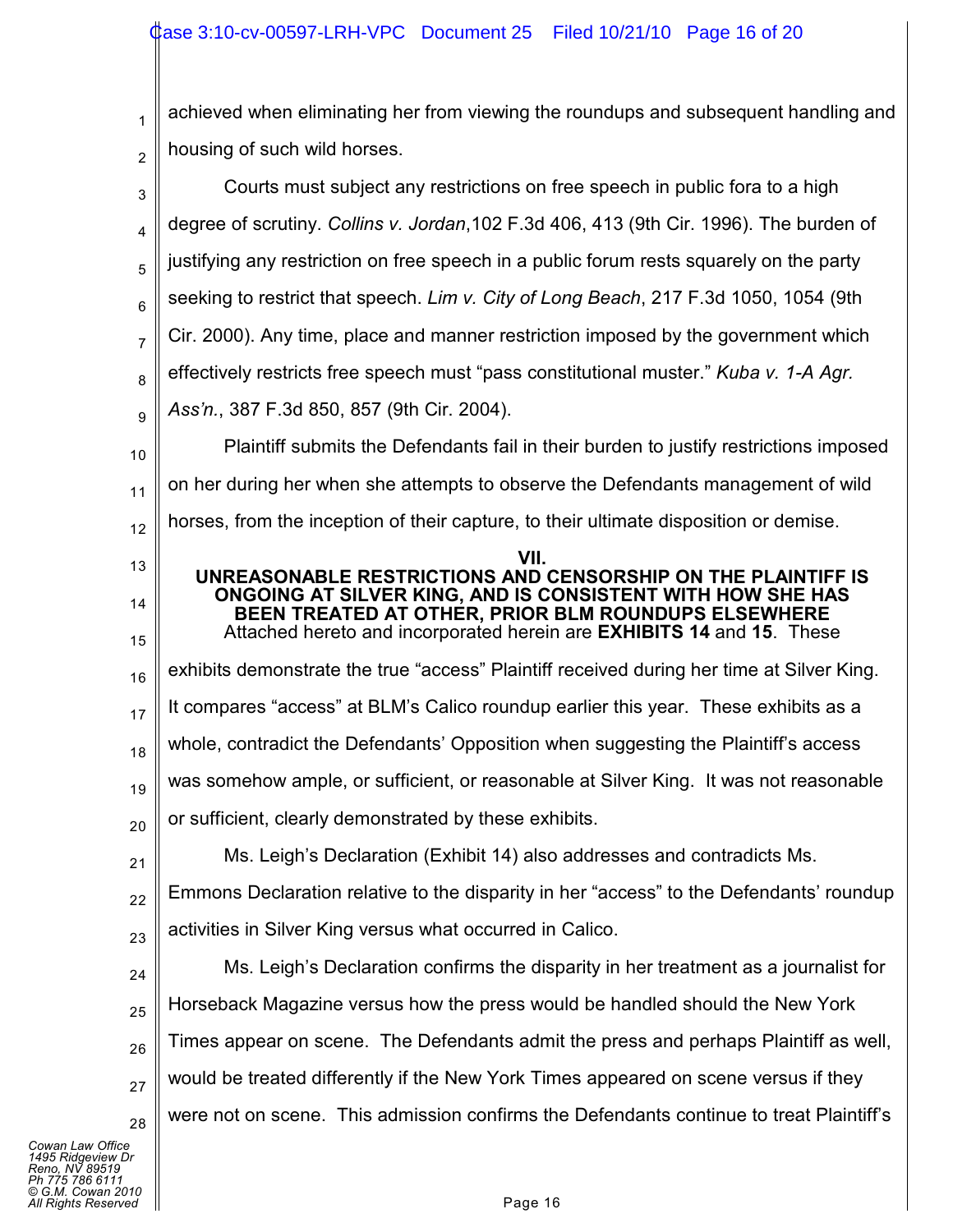1 2 3 4 5 6 7 8 9 10 11 12 13 14 15 16 17 18 19 20 21 22 23 24 25 26 27 28 achieved when eliminating her from viewing the roundups and subsequent handling and housing of such wild horses. Courts must subject any restrictions on free speech in public fora to a high degree of scrutiny. *Collins v. Jordan*,102 F.3d 406, 413 (9th Cir. 1996). The burden of justifying any restriction on free speech in a public forum rests squarely on the party seeking to restrict that speech. *Lim v. City of Long Beach*, 217 F.3d 1050, 1054 (9th Cir. 2000). Any time, place and manner restriction imposed by the government which effectively restricts free speech must "pass constitutional muster." *Kuba v. 1-A Agr. Ass'n.*, 387 F.3d 850, 857 (9th Cir. 2004). Plaintiff submits the Defendants fail in their burden to justify restrictions imposed on her during her when she attempts to observe the Defendants management of wild horses, from the inception of their capture, to their ultimate disposition or demise. **VII. UNREASONABLE RESTRICTIONS AND CENSORSHIP ON THE PLAINTIFF IS ONGOING AT SILVER KING, AND IS CONSISTENT WITH HOW SHE HAS BEEN TREATED AT OTHER, PRIOR BLM ROUNDUPS ELSEWHERE** Attached hereto and incorporated herein are **EXHIBITS 14** and **15**. These exhibits demonstrate the true "access" Plaintiff received during her time at Silver King. It compares "access" at BLM's Calico roundup earlier this year. These exhibits as a whole, contradict the Defendants' Opposition when suggesting the Plaintiff's access was somehow ample, or sufficient, or reasonable at Silver King. It was not reasonable or sufficient, clearly demonstrated by these exhibits. Ms. Leigh's Declaration (Exhibit 14) also addresses and contradicts Ms. Emmons Declaration relative to the disparity in her "access" to the Defendants' roundup activities in Silver King versus what occurred in Calico. Ms. Leigh's Declaration confirms the disparity in her treatment as a journalist for Horseback Magazine versus how the press would be handled should the New York Times appear on scene. The Defendants admit the press and perhaps Plaintiff as well, would be treated differently if the New York Times appeared on scene versus if they were not on scene. This admission confirms the Defendants continue to treat Plaintiff's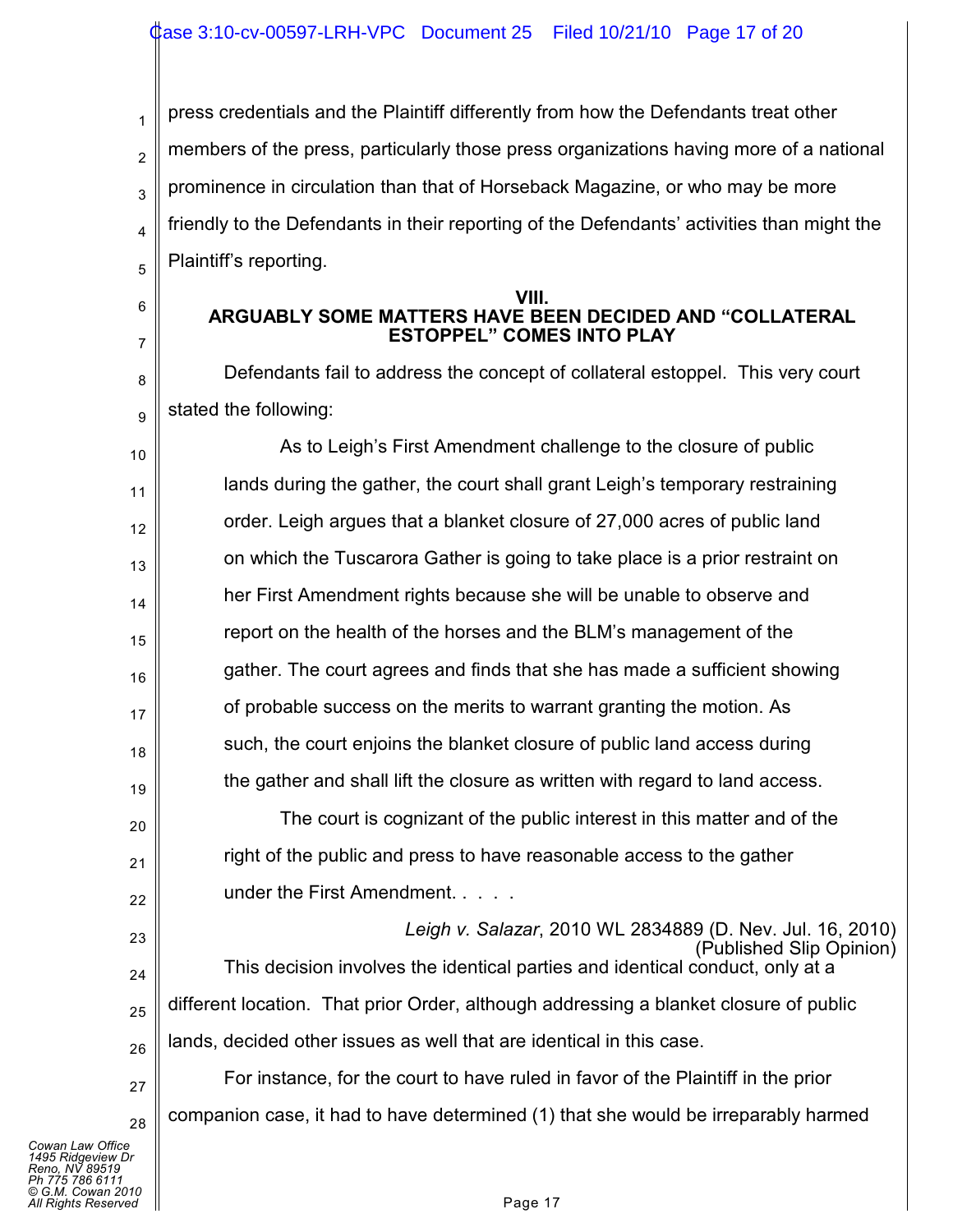1 2 3 4 5 press credentials and the Plaintiff differently from how the Defendants treat other members of the press, particularly those press organizations having more of a national prominence in circulation than that of Horseback Magazine, or who may be more friendly to the Defendants in their reporting of the Defendants' activities than might the Plaintiff's reporting.

#### **VIII. ARGUABLY SOME MATTERS HAVE BEEN DECIDED AND "COLLATERAL ESTOPPEL" COMES INTO PLAY**

Defendants fail to address the concept of collateral estoppel. This very court stated the following:

10 11 12 13 14 15 16 17 18 19 As to Leigh's First Amendment challenge to the closure of public lands during the gather, the court shall grant Leigh's temporary restraining order. Leigh argues that a blanket closure of 27,000 acres of public land on which the Tuscarora Gather is going to take place is a prior restraint on her First Amendment rights because she will be unable to observe and report on the health of the horses and the BLM's management of the gather. The court agrees and finds that she has made a sufficient showing of probable success on the merits to warrant granting the motion. As such, the court enjoins the blanket closure of public land access during the gather and shall lift the closure as written with regard to land access.

The court is cognizant of the public interest in this matter and of the right of the public and press to have reasonable access to the gather under the First Amendment. . . . .

*Leigh v. Salazar*, 2010 WL 2834889 (D. Nev. Jul. 16, 2010) (Published Slip Opinion) This decision involves the identical parties and identical conduct, only at a different location. That prior Order, although addressing a blanket closure of public lands, decided other issues as well that are identical in this case.

28 For instance, for the court to have ruled in favor of the Plaintiff in the prior companion case, it had to have determined (1) that she would be irreparably harmed

*Cowan Law Office 1495 Ridgeview Dr Reno, NV 89519 Ph 775 786 6111 © G.M. Cowan 2010 All Rights Reserved* Page 17

6

7

8

9

20

21

22

23

24

25

26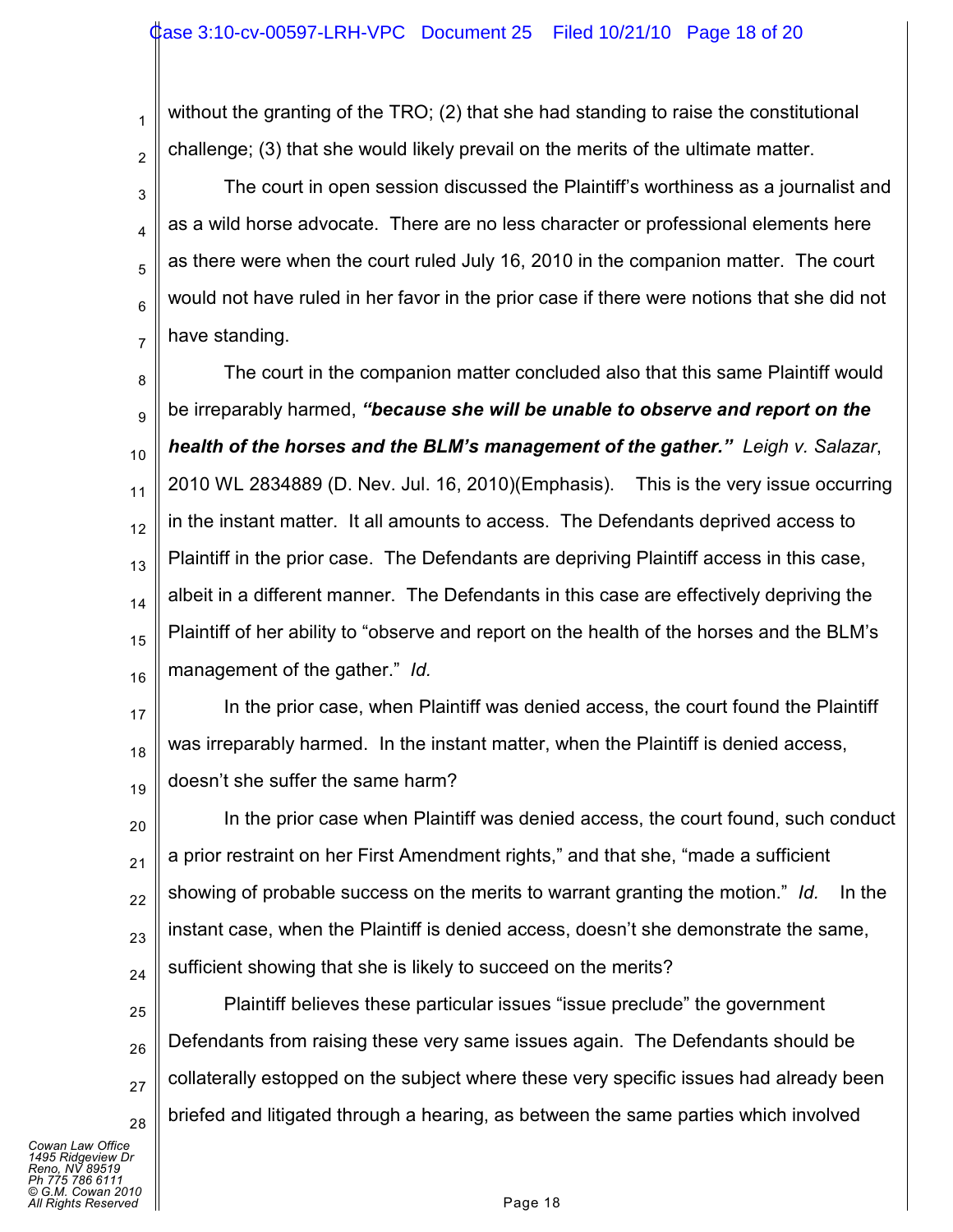without the granting of the TRO; (2) that she had standing to raise the constitutional challenge; (3) that she would likely prevail on the merits of the ultimate matter.

3 4 5 6 7 The court in open session discussed the Plaintiff's worthiness as a journalist and as a wild horse advocate. There are no less character or professional elements here as there were when the court ruled July 16, 2010 in the companion matter. The court would not have ruled in her favor in the prior case if there were notions that she did not have standing.

8 9 10 11 12 13 14 15 16 The court in the companion matter concluded also that this same Plaintiff would be irreparably harmed, *"because she will be unable to observe and report on the health of the horses and the BLM's management of the gather." Leigh v. Salazar*, 2010 WL 2834889 (D. Nev. Jul. 16, 2010)(Emphasis). This is the very issue occurring in the instant matter. It all amounts to access. The Defendants deprived access to Plaintiff in the prior case. The Defendants are depriving Plaintiff access in this case, albeit in a different manner. The Defendants in this case are effectively depriving the Plaintiff of her ability to "observe and report on the health of the horses and the BLM's management of the gather." *Id.*

17 18 19 In the prior case, when Plaintiff was denied access, the court found the Plaintiff was irreparably harmed. In the instant matter, when the Plaintiff is denied access, doesn't she suffer the same harm?

20 21 22 23 24 In the prior case when Plaintiff was denied access, the court found, such conduct a prior restraint on her First Amendment rights," and that she, "made a sufficient showing of probable success on the merits to warrant granting the motion." *Id.* In the instant case, when the Plaintiff is denied access, doesn't she demonstrate the same, sufficient showing that she is likely to succeed on the merits?

25 26 27 28 Plaintiff believes these particular issues "issue preclude" the government Defendants from raising these very same issues again. The Defendants should be collaterally estopped on the subject where these very specific issues had already been briefed and litigated through a hearing, as between the same parties which involved

*Cowan Law Office 1495 Ridgeview Dr Reno, NV 89519 Ph 775 786 6111 © G.M. Cowan 2010 Alights Reserved* Page 18

1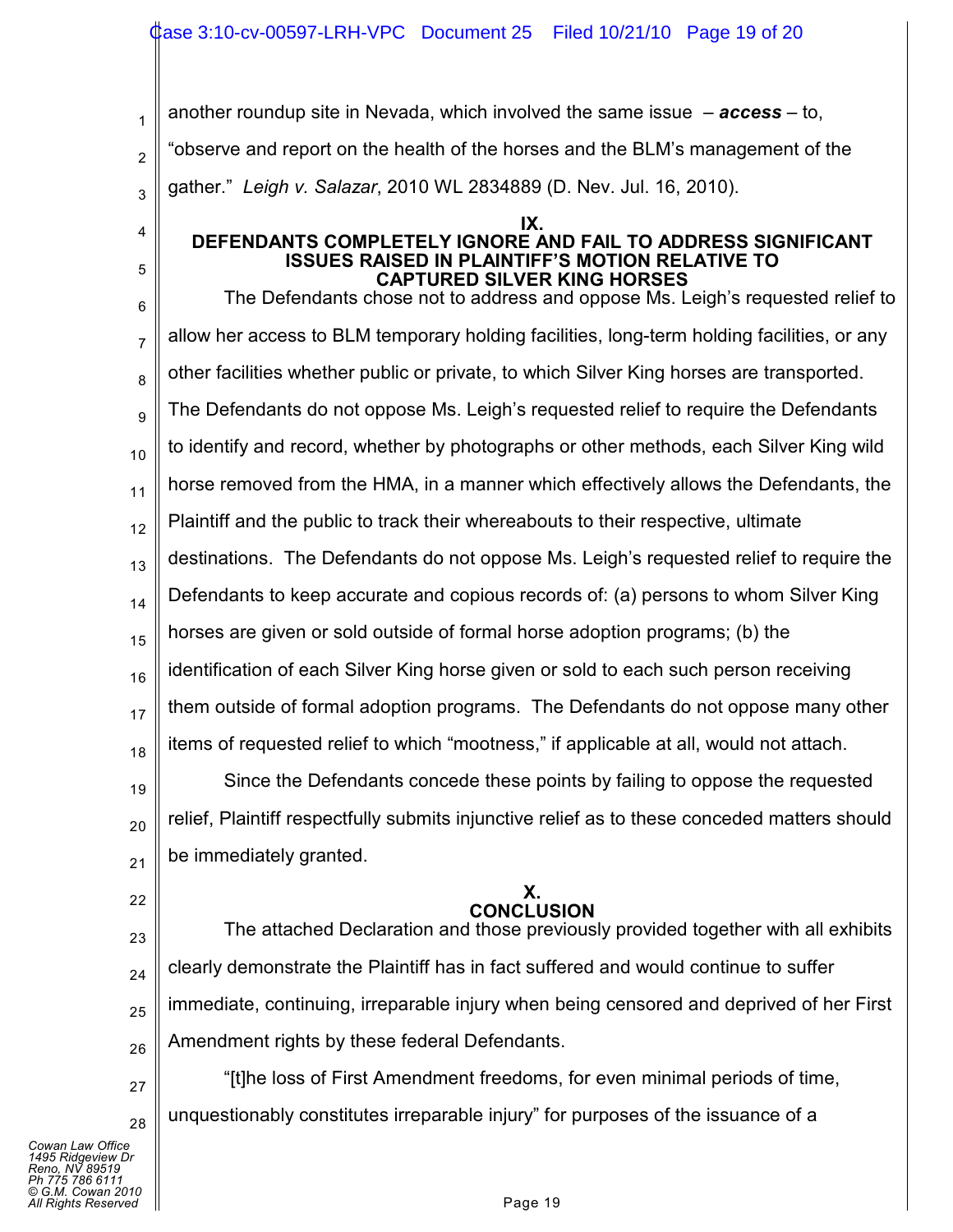another roundup site in Nevada, which involved the same issue – *access* – to, "observe and report on the health of the horses and the BLM's management of the

3 gather." *Leigh v. Salazar*, 2010 WL 2834889 (D. Nev. Jul. 16, 2010).

#### **IX. DEFENDANTS COMPLETELY IGNORE AND FAIL TO ADDRESS SIGNIFICANT ISSUES RAISED IN PLAINTIFF'S MOTION RELATIVE TO CAPTURED SILVER KING HORSES**

6 7 8 9 10 11 12 13 14 15 16 17 18 The Defendants chose not to address and oppose Ms. Leigh's requested relief to allow her access to BLM temporary holding facilities, long-term holding facilities, or any other facilities whether public or private, to which Silver King horses are transported. The Defendants do not oppose Ms. Leigh's requested relief to require the Defendants to identify and record, whether by photographs or other methods, each Silver King wild horse removed from the HMA, in a manner which effectively allows the Defendants, the Plaintiff and the public to track their whereabouts to their respective, ultimate destinations. The Defendants do not oppose Ms. Leigh's requested relief to require the Defendants to keep accurate and copious records of: (a) persons to whom Silver King horses are given or sold outside of formal horse adoption programs; (b) the identification of each Silver King horse given or sold to each such person receiving them outside of formal adoption programs. The Defendants do not oppose many other items of requested relief to which "mootness," if applicable at all, would not attach.

19 20 21 Since the Defendants concede these points by failing to oppose the requested relief, Plaintiff respectfully submits injunctive relief as to these conceded matters should be immediately granted.

### **X. CONCLUSION**

23 24 25 26 The attached Declaration and those previously provided together with all exhibits clearly demonstrate the Plaintiff has in fact suffered and would continue to suffer immediate, continuing, irreparable injury when being censored and deprived of her First Amendment rights by these federal Defendants.

27 28 "[t]he loss of First Amendment freedoms, for even minimal periods of time, unquestionably constitutes irreparable injury" for purposes of the issuance of a

22

1

2

4